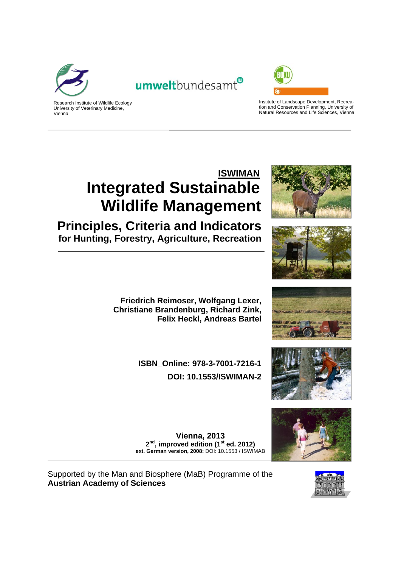

Vienna





Institute of Landscape Development, Recreation and Conservation Planning, University of Natural Resources and Life Sciences, Vienna

# **ISWIMAN Integrated Sustainable Wildlife Management**

**Principles, Criteria and Indicators for Hunting, Forestry, Agriculture, Recreation**



**ISBN\_Online: 978-3-7001-7216-1 DOI: 10.1553/ISWIMAN-2**









**Vienna, 2013**  2<sup>nd</sup>, improved edition (1<sup>st</sup> ed. 2012) **ext. German version, 2008:** DOI: 10.1553 / ISWIMAB

Supported by the Man and Biosphere (MaB) Programme of the **Austrian Academy of Sciences**

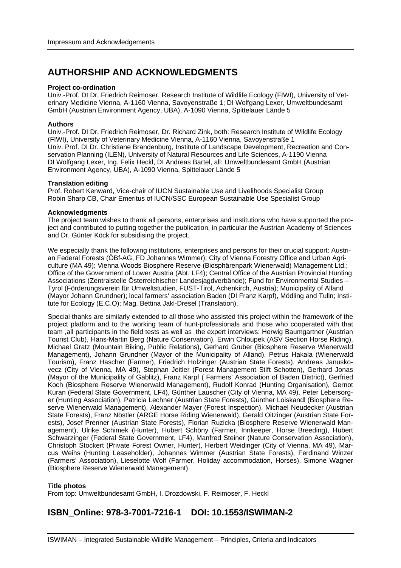# **AUTHORSHIP AND ACKNOWLEDGMENTS**

#### **Project co-ordination**

Univ.-Prof. DI Dr. Friedrich Reimoser, Research Institute of Wildlife Ecology (FIWI), University of Veterinary Medicine Vienna, A-1160 Vienna, Savoyenstraße 1; DI Wolfgang Lexer, Umweltbundesamt GmbH (Austrian Environment Agency, UBA), A-1090 Vienna, Spittelauer Lände 5

#### **Authors**

Univ.-Prof. DI Dr. Friedrich Reimoser, Dr. Richard Zink, both: Research Institute of Wildlife Ecology (FIWI), University of Veterinary Medicine Vienna, A-1160 Vienna, Savoyenstraße 1 Univ. Prof. DI Dr. Christiane Brandenburg, Institute of Landscape Development, Recreation and Conservation Planning (ILEN), University of Natural Resources and Life Sciences, A-1190 Vienna DI Wolfgang Lexer, Ing. Felix Heckl, DI Andreas Bartel, all: Umweltbundesamt GmbH (Austrian Environment Agency, UBA), A-1090 Vienna, Spittelauer Lände 5

#### **Translation editing**

Prof. Robert Kenward, Vice-chair of IUCN Sustainable Use and Livelihoods Specialist Group Robin Sharp CB, Chair Emeritus of IUCN/SSC European Sustainable Use Specialist Group

#### **Acknowledgments**

The project team wishes to thank all persons, enterprises and institutions who have supported the project and contributed to putting together the publication, in particular the Austrian Academy of Sciences and Dr. Günter Köck for subsidising the project.

We especially thank the following institutions, enterprises and persons for their crucial support: Austrian Federal Forests (ÖBf-AG, FD Johannes Wimmer); City of Vienna Forestry Office and Urban Agriculture (MA 49); Vienna Woods Biosphere Reserve (Biosphärenpark Wienerwald) Management Ltd.; Office of the Government of Lower Austria (Abt. LF4); Central Office of the Austrian Provincial Hunting Associations (Zentralstelle Österreichischer Landesjagdverbände); Fund for Environmental Studies – Tyrol (Förderungsverein für Umweltstudien, FUST-Tirol, Achenkirch, Austria); Municipality of Alland (Mayor Johann Grundner); local farmers' association Baden (DI Franz Karpf), Mödling and Tulln; Institute for Ecology (E.C.O); Mag. Bettina Jakl-Dresel (Translation).

Special thanks are similarly extended to all those who assisted this project within the framework of the project platform and to the working team of hunt-professionals and those who cooperated with that team ,all participants in the field tests as well as the expert interviews: Herwig Baumgartner (Austrian Tourist Club), Hans-Martin Berg (Nature Conservation), Erwin Chloupek (ASV Section Horse Riding), Michael Gratz (Mountain Biking, Public Relations), Gerhard Gruber (Biosphere Reserve Wienerwald Management), Johann Grundner (Mayor of the Municipality of Alland), Petrus Hakala (Wienerwald Tourism), Franz Hascher (Farmer), Friedrich Holzinger (Austrian State Forests), Andreas Januskovecz (City of Vienna, MA 49), Stephan Jeitler (Forest Management Stift Schotten), Gerhard Jonas (Mayor of the Municipality of Gablitz), Franz Karpf ( Farmers' Association of Baden District), Gerfried Koch (Biosphere Reserve Wienerwald Management), Rudolf Konrad (Hunting Organisation), Gernot Kuran (Federal State Government, LF4), Günther Lauscher (City of Vienna, MA 49), Peter Lebersorger (Hunting Association), Patricia Lechner (Austrian State Forests), Günther Loiskandl (Biosphere Reserve Wienerwald Management), Alexander Mayer (Forest Inspection), Michael Neudecker (Austrian State Forests), Franz Nöstler (ARGE Horse Riding Wienerwald), Gerald Oitzinger (Austrian State Forests), Josef Prenner (Austrian State Forests), Florian Ruzicka (Biosphere Reserve Wienerwald Management), Ulrike Schimek (Hunter), Hubert Schöny (Farmer, Innkeeper, Horse Breeding), Hubert Schwarzinger (Federal State Government, LF4), Manfred Steiner (Nature Conservation Association), Christoph Stockert (Private Forest Owner, Hunter), Herbert Weidinger (City of Vienna, MA 49), Marcus Weihs (Hunting Leaseholder), Johannes Wimmer (Austrian State Forests), Ferdinand Winzer (Farmers' Association), Lieselotte Wolf (Farmer, Holiday accommodation, Horses), Simone Wagner (Biosphere Reserve Wienerwald Management).

#### **Title photos**

From top: Umweltbundesamt GmbH, I. Drozdowski, F. Reimoser, F. Heckl

# **ISBN\_Online: 978-3-7001-7216-1 DOI: 10.1553/ISWIMAN-2**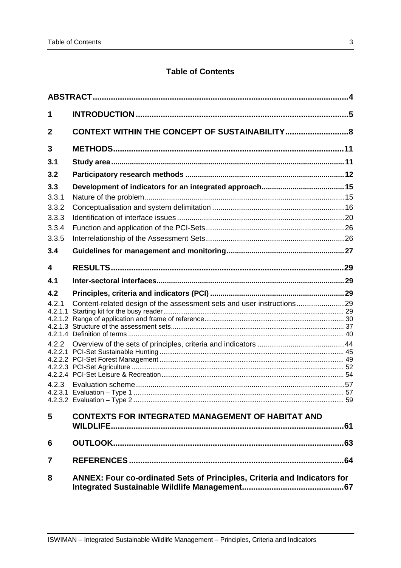# **Table of Contents**

| 1       |                                                                                 |  |
|---------|---------------------------------------------------------------------------------|--|
| 2       |                                                                                 |  |
| 3       |                                                                                 |  |
| 3.1     |                                                                                 |  |
| 3.2     |                                                                                 |  |
| 3.3     |                                                                                 |  |
| 3.3.1   |                                                                                 |  |
| 3.3.2   |                                                                                 |  |
| 3.3.3   |                                                                                 |  |
| 3.3.4   |                                                                                 |  |
| 3.3.5   |                                                                                 |  |
| 3.4     |                                                                                 |  |
| 4       |                                                                                 |  |
| 4.1     |                                                                                 |  |
| 4.2     |                                                                                 |  |
| 4.2.1   |                                                                                 |  |
| 4.2.1.1 |                                                                                 |  |
|         |                                                                                 |  |
| 4.2.2   |                                                                                 |  |
|         |                                                                                 |  |
|         |                                                                                 |  |
|         |                                                                                 |  |
| 4.2.3   |                                                                                 |  |
|         |                                                                                 |  |
|         |                                                                                 |  |
| 5       | <b>CONTEXTS FOR INTEGRATED MANAGEMENT OF HABITAT AND</b>                        |  |
| 6       |                                                                                 |  |
| 7       |                                                                                 |  |
| 8       | <b>ANNEX: Four co-ordinated Sets of Principles, Criteria and Indicators for</b> |  |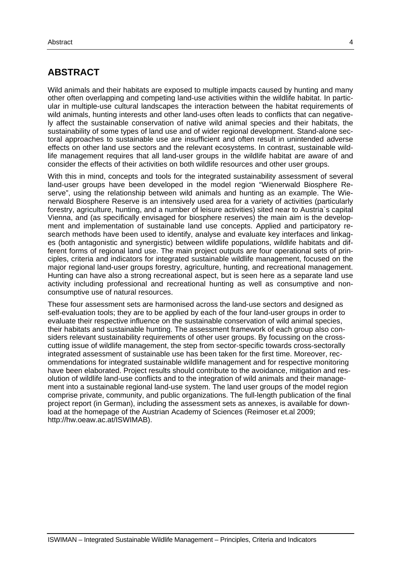# **ABSTRACT**

Wild animals and their habitats are exposed to multiple impacts caused by hunting and many other often overlapping and competing land-use activities within the wildlife habitat. In particular in multiple-use cultural landscapes the interaction between the habitat requirements of wild animals, hunting interests and other land-uses often leads to conflicts that can negatively affect the sustainable conservation of native wild animal species and their habitats, the sustainability of some types of land use and of wider regional development. Stand-alone sectoral approaches to sustainable use are insufficient and often result in unintended adverse effects on other land use sectors and the relevant ecosystems. In contrast, sustainable wildlife management requires that all land-user groups in the wildlife habitat are aware of and consider the effects of their activities on both wildlife resources and other user groups.

With this in mind, concepts and tools for the integrated sustainability assessment of several land-user groups have been developed in the model region "Wienerwald Biosphere Reserve", using the relationship between wild animals and hunting as an example. The Wienerwald Biosphere Reserve is an intensively used area for a variety of activities (particularly forestry, agriculture, hunting, and a number of leisure activities) sited near to Austria`s capital Vienna, and (as specifically envisaged for biosphere reserves) the main aim is the development and implementation of sustainable land use concepts. Applied and participatory research methods have been used to identify, analyse and evaluate key interfaces and linkages (both antagonistic and synergistic) between wildlife populations, wildlife habitats and different forms of regional land use. The main project outputs are four operational sets of principles, criteria and indicators for integrated sustainable wildlife management, focused on the major regional land-user groups forestry, agriculture, hunting, and recreational management. Hunting can have also a strong recreational aspect, but is seen here as a separate land use activity including professional and recreational hunting as well as consumptive and nonconsumptive use of natural resources.

These four assessment sets are harmonised across the land-use sectors and designed as self-evaluation tools; they are to be applied by each of the four land-user groups in order to evaluate their respective influence on the sustainable conservation of wild animal species, their habitats and sustainable hunting. The assessment framework of each group also considers relevant sustainability requirements of other user groups. By focussing on the crosscutting issue of wildlife management, the step from sector-specific towards cross-sectorally integrated assessment of sustainable use has been taken for the first time. Moreover, recommendations for integrated sustainable wildlife management and for respective monitoring have been elaborated. Project results should contribute to the avoidance, mitigation and resolution of wildlife land-use conflicts and to the integration of wild animals and their management into a sustainable regional land-use system. The land user groups of the model region comprise private, community, and public organizations. The full-length publication of the final project report (in German), including the assessment sets as annexes, is available for download at the homepage of the Austrian Academy of Sciences (Reimoser et.al 2009; http://hw.oeaw.ac.at/ISWIMAB).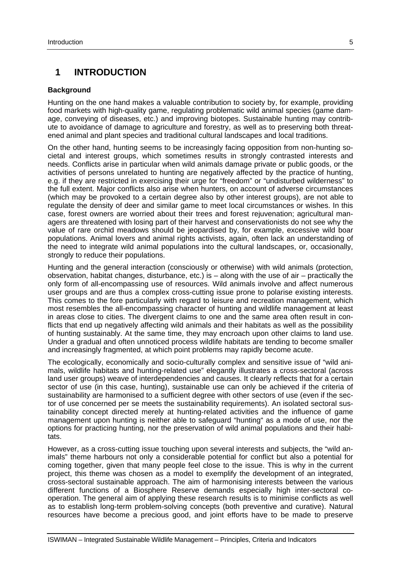# **1 INTRODUCTION**

#### **Background**

Hunting on the one hand makes a valuable contribution to society by, for example, providing food markets with high-quality game, regulating problematic wild animal species (game damage, conveying of diseases, etc.) and improving biotopes. Sustainable hunting may contribute to avoidance of damage to agriculture and forestry, as well as to preserving both threatened animal and plant species and traditional cultural landscapes and local traditions.

On the other hand, hunting seems to be increasingly facing opposition from non-hunting societal and interest groups, which sometimes results in strongly contrasted interests and needs. Conflicts arise in particular when wild animals damage private or public goods, or the activities of persons unrelated to hunting are negatively affected by the practice of hunting, e.g. if they are restricted in exercising their urge for "freedom" or "undisturbed wilderness" to the full extent. Major conflicts also arise when hunters, on account of adverse circumstances (which may be provoked to a certain degree also by other interest groups), are not able to regulate the density of deer and similar game to meet local circumstances or wishes. In this case, forest owners are worried about their trees and forest rejuvenation; agricultural managers are threatened with losing part of their harvest and conservationists do not see why the value of rare orchid meadows should be jeopardised by, for example, excessive wild boar populations. Animal lovers and animal rights activists, again, often lack an understanding of the need to integrate wild animal populations into the cultural landscapes, or, occasionally, strongly to reduce their populations.

Hunting and the general interaction (consciously or otherwise) with wild animals (protection, observation, habitat changes, disturbance, etc.) is – along with the use of air – practically the only form of all-encompassing use of resources. Wild animals involve and affect numerous user groups and are thus a complex cross-cutting issue prone to polarise existing interests. This comes to the fore particularly with regard to leisure and recreation management, which most resembles the all-encompassing character of hunting and wildlife management at least in areas close to cities. The divergent claims to one and the same area often result in conflicts that end up negatively affecting wild animals and their habitats as well as the possibility of hunting sustainably. At the same time, they may encroach upon other claims to land use. Under a gradual and often unnoticed process wildlife habitats are tending to become smaller and increasingly fragmented, at which point problems may rapidly become acute.

The ecologically, economically and socio-culturally complex and sensitive issue of "wild animals, wildlife habitats and hunting-related use" elegantly illustrates a cross-sectoral (across land user groups) weave of interdependencies and causes. It clearly reflects that for a certain sector of use (in this case, hunting), sustainable use can only be achieved if the criteria of sustainability are harmonised to a sufficient degree with other sectors of use (even if the sector of use concerned per se meets the sustainability requirements). An isolated sectoral sustainability concept directed merely at hunting-related activities and the influence of game management upon hunting is neither able to safeguard "hunting" as a mode of use, nor the options for practicing hunting, nor the preservation of wild animal populations and their habitats.

However, as a cross-cutting issue touching upon several interests and subjects, the "wild animals" theme harbours not only a considerable potential for conflict but also a potential for coming together, given that many people feel close to the issue. This is why in the current project, this theme was chosen as a model to exemplify the development of an integrated, cross-sectoral sustainable approach. The aim of harmonising interests between the various different functions of a Biosphere Reserve demands especially high inter-sectoral cooperation. The general aim of applying these research results is to minimise conflicts as well as to establish long-term problem-solving concepts (both preventive and curative). Natural resources have become a precious good, and joint efforts have to be made to preserve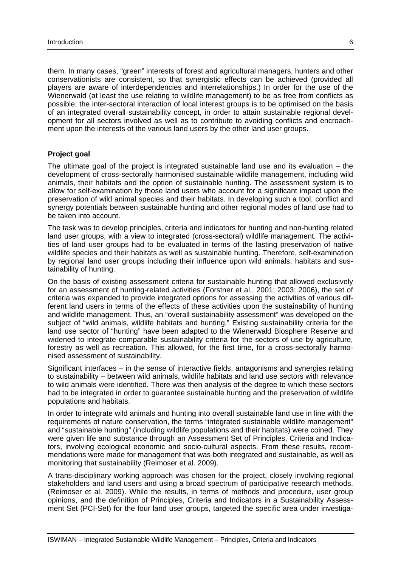them. In many cases, "green" interests of forest and agricultural managers, hunters and other conservationists are consistent, so that synergistic effects can be achieved (provided all players are aware of interdependencies and interrelationships.) In order for the use of the Wienerwald (at least the use relating to wildlife management) to be as free from conflicts as possible, the inter-sectoral interaction of local interest groups is to be optimised on the basis of an integrated overall sustainability concept, in order to attain sustainable regional development for all sectors involved as well as to contribute to avoiding conflicts and encroachment upon the interests of the various land users by the other land user groups.

#### **Project goal**

The ultimate goal of the project is integrated sustainable land use and its evaluation – the development of cross-sectorally harmonised sustainable wildlife management, including wild animals, their habitats and the option of sustainable hunting. The assessment system is to allow for self-examination by those land users who account for a significant impact upon the preservation of wild animal species and their habitats. In developing such a tool, conflict and synergy potentials between sustainable hunting and other regional modes of land use had to be taken into account.

The task was to develop principles, criteria and indicators for hunting and non-hunting related land user groups, with a view to integrated (cross-sectoral) wildlife management. The activities of land user groups had to be evaluated in terms of the lasting preservation of native wildlife species and their habitats as well as sustainable hunting. Therefore, self-examination by regional land user groups including their influence upon wild animals, habitats and sustainability of hunting.

On the basis of existing assessment criteria for sustainable hunting that allowed exclusively for an assessment of hunting-related activities (Forstner et al., 2001; 2003; 2006), the set of criteria was expanded to provide integrated options for assessing the activities of various different land users in terms of the effects of these activities upon the sustainability of hunting and wildlife management. Thus, an "overall sustainability assessment" was developed on the subject of "wild animals, wildlife habitats and hunting." Existing sustainability criteria for the land use sector of "hunting" have been adapted to the Wienerwald Biosphere Reserve and widened to integrate comparable sustainability criteria for the sectors of use by agriculture, forestry as well as recreation. This allowed, for the first time, for a cross-sectorally harmonised assessment of sustainability.

Significant interfaces – in the sense of interactive fields, antagonisms and synergies relating to sustainability – between wild animals, wildlife habitats and land use sectors with relevance to wild animals were identified. There was then analysis of the degree to which these sectors had to be integrated in order to guarantee sustainable hunting and the preservation of wildlife populations and habitats.

In order to integrate wild animals and hunting into overall sustainable land use in line with the requirements of nature conservation, the terms "integrated sustainable wildlife management" and "sustainable hunting" (including wildlife populations and their habitats) were coined. They were given life and substance through an Assessment Set of Principles, Criteria and Indicators, involving ecological economic and socio-cultural aspects. From these results, recommendations were made for management that was both integrated and sustainable, as well as monitoring that sustainability (Reimoser et al. 2009).

A trans-disciplinary working approach was chosen for the project, closely involving regional stakeholders and land users and using a broad spectrum of participative research methods. (Reimoser et al. 2009). While the results, in terms of methods and procedure, user group opinions, and the definition of Principles, Criteria and Indicators in a Sustainability Assessment Set (PCI-Set) for the four land user groups, targeted the specific area under investiga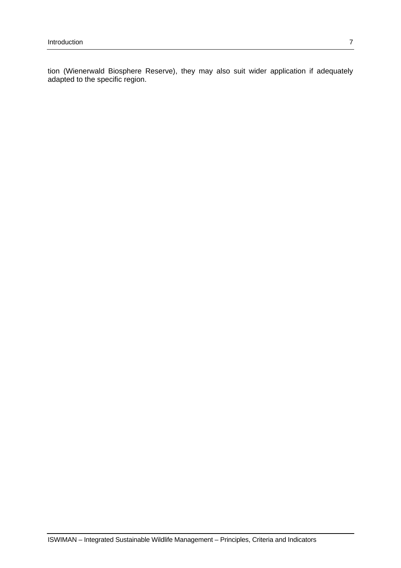tion (Wienerwald Biosphere Reserve), they may also suit wider application if adequately adapted to the specific region.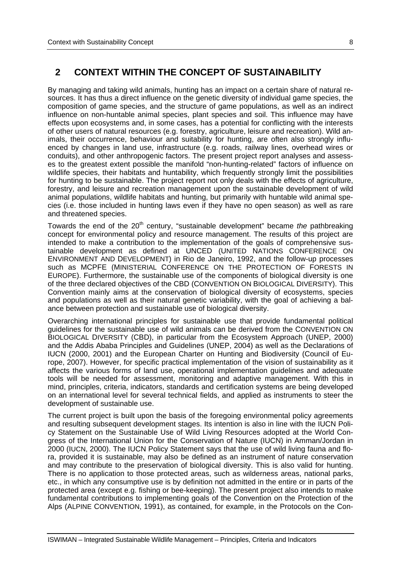# **2 CONTEXT WITHIN THE CONCEPT OF SUSTAINABILITY**

By managing and taking wild animals, hunting has an impact on a certain share of natural resources. It has thus a direct influence on the genetic diversity of individual game species, the composition of game species, and the structure of game populations, as well as an indirect influence on non-huntable animal species, plant species and soil. This influence may have effects upon ecosystems and, in some cases, has a potential for conflicting with the interests of other users of natural resources (e.g. forestry, agriculture, leisure and recreation). Wild animals, their occurrence, behaviour and suitability for hunting, are often also strongly influenced by changes in land use, infrastructure (e.g. roads, railway lines, overhead wires or conduits), and other anthropogenic factors. The present project report analyses and assesses to the greatest extent possible the manifold "non-hunting-related" factors of influence on wildlife species, their habitats and huntability, which frequently strongly limit the possibilities for hunting to be sustainable. The project report not only deals with the effects of agriculture, forestry, and leisure and recreation management upon the sustainable development of wild animal populations, wildlife habitats and hunting, but primarily with huntable wild animal species (i.e. those included in hunting laws even if they have no open season) as well as rare and threatened species.

Towards the end of the 20<sup>th</sup> century, "sustainable development" became *the* pathbreaking concept for environmental policy and resource management. The results of this project are intended to make a contribution to the implementation of the goals of comprehensive sustainable development as defined at UNCED (UNITED NATIONS CONFERENCE ON ENVIRONMENT AND DEVELOPMENT) in Rio de Janeiro, 1992, and the follow-up processes such as MCPFE (MINISTERIAL CONFERENCE ON THE PROTECTION OF FORESTS IN EUROPE). Furthermore, the sustainable use of the components of biological diversity is one of the three declared objectives of the CBD (CONVENTION ON BIOLOGICAL DIVERSITY). This Convention mainly aims at the conservation of biological diversity of ecosystems, species and populations as well as their natural genetic variability, with the goal of achieving a balance between protection and sustainable use of biological diversity.

Overarching international principles for sustainable use that provide fundamental political guidelines for the sustainable use of wild animals can be derived from the CONVENTION ON BIOLOGICAL DIVERSITY (CBD), in particular from the Ecosystem Approach (UNEP, 2000) and the Addis Ababa Principles and Guidelines (UNEP, 2004) as well as the Declarations of IUCN (2000, 2001) and the European Charter on Hunting and Biodiversity (Council of Europe, 2007). However, for specific practical implementation of the vision of sustainability as it affects the various forms of land use, operational implementation guidelines and adequate tools will be needed for assessment, monitoring and adaptive management. With this in mind, principles, criteria, indicators, standards and certification systems are being developed on an international level for several technical fields, and applied as instruments to steer the development of sustainable use.

The current project is built upon the basis of the foregoing environmental policy agreements and resulting subsequent development stages. Its intention is also in line with the IUCN Policy Statement on the Sustainable Use of Wild Living Resources adopted at the World Congress of the International Union for the Conservation of Nature (IUCN) in Amman/Jordan in 2000 (IUCN, 2000). The IUCN Policy Statement says that the use of wild living fauna and flora, provided it is sustainable, may also be defined as an instrument of nature conservation and may contribute to the preservation of biological diversity. This is also valid for hunting. There is no application to those protected areas, such as wilderness areas, national parks, etc., in which any consumptive use is by definition not admitted in the entire or in parts of the protected area (except e.g. fishing or bee-keeping). The present project also intends to make fundamental contributions to implementing goals of the Convention on the Protection of the Alps (ALPINE CONVENTION, 1991), as contained, for example, in the Protocols on the Con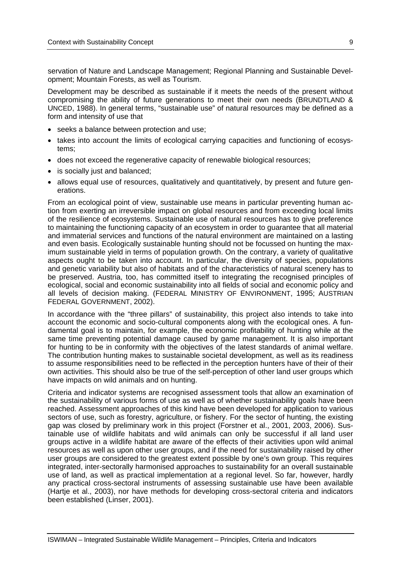servation of Nature and Landscape Management; Regional Planning and Sustainable Development; Mountain Forests, as well as Tourism.

Development may be described as sustainable if it meets the needs of the present without compromising the ability of future generations to meet their own needs (BRUNDTLAND & UNCED, 1988). In general terms, "sustainable use" of natural resources may be defined as a form and intensity of use that

- seeks a balance between protection and use;
- takes into account the limits of ecological carrying capacities and functioning of ecosystems;
- does not exceed the regenerative capacity of renewable biological resources;
- is socially just and balanced;
- allows equal use of resources, qualitatively and quantitatively, by present and future generations.

From an ecological point of view, sustainable use means in particular preventing human action from exerting an irreversible impact on global resources and from exceeding local limits of the resilience of ecosystems. Sustainable use of natural resources has to give preference to maintaining the functioning capacity of an ecosystem in order to guarantee that all material and immaterial services and functions of the natural environment are maintained on a lasting and even basis. Ecologically sustainable hunting should not be focussed on hunting the maximum sustainable yield in terms of population growth. On the contrary, a variety of qualitative aspects ought to be taken into account. In particular, the diversity of species, populations and genetic variability but also of habitats and of the characteristics of natural scenery has to be preserved. Austria, too, has committed itself to integrating the recognised principles of ecological, social and economic sustainability into all fields of social and economic policy and all levels of decision making. (FEDERAL MINISTRY OF ENVIRONMENT, 1995; AUSTRIAN FEDERAL GOVERNMENT, 2002).

In accordance with the "three pillars" of sustainability, this project also intends to take into account the economic and socio-cultural components along with the ecological ones. A fundamental goal is to maintain, for example, the economic profitability of hunting while at the same time preventing potential damage caused by game management. It is also important for hunting to be in conformity with the objectives of the latest standards of animal welfare. The contribution hunting makes to sustainable societal development, as well as its readiness to assume responsibilities need to be reflected in the perception hunters have of their of their own activities. This should also be true of the self-perception of other land user groups which have impacts on wild animals and on hunting.

Criteria and indicator systems are recognised assessment tools that allow an examination of the sustainability of various forms of use as well as of whether sustainability goals have been reached. Assessment approaches of this kind have been developed for application to various sectors of use, such as forestry, agriculture, or fishery. For the sector of hunting, the existing gap was closed by preliminary work in this project (Forstner et al., 2001, 2003, 2006). Sustainable use of wildlife habitats and wild animals can only be successful if all land user groups active in a wildlife habitat are aware of the effects of their activities upon wild animal resources as well as upon other user groups, and if the need for sustainability raised by other user groups are considered to the greatest extent possible by one's own group. This requires integrated, inter-sectorally harmonised approaches to sustainability for an overall sustainable use of land, as well as practical implementation at a regional level. So far, however, hardly any practical cross-sectoral instruments of assessing sustainable use have been available (Hartje et al., 2003), nor have methods for developing cross-sectoral criteria and indicators been established (Linser, 2001).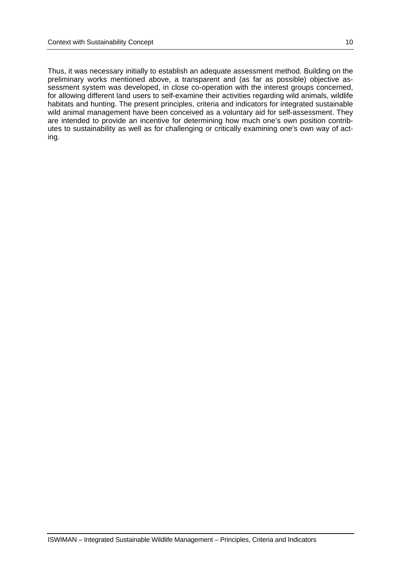Thus, it was necessary initially to establish an adequate assessment method. Building on the preliminary works mentioned above, a transparent and (as far as possible) objective assessment system was developed, in close co-operation with the interest groups concerned, for allowing different land users to self-examine their activities regarding wild animals, wildlife habitats and hunting. The present principles, criteria and indicators for integrated sustainable wild animal management have been conceived as a voluntary aid for self-assessment. They are intended to provide an incentive for determining how much one's own position contributes to sustainability as well as for challenging or critically examining one's own way of acting.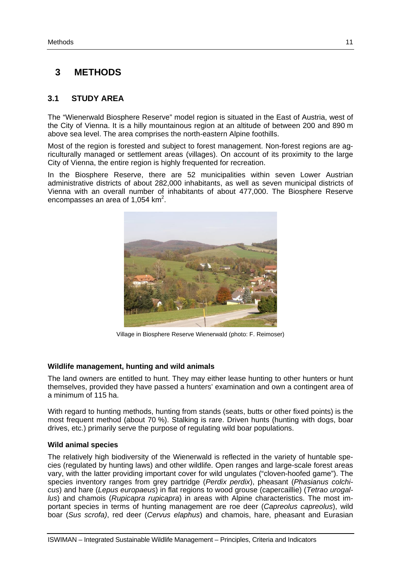# **3 METHODS**

# **3.1 STUDY AREA**

The "Wienerwald Biosphere Reserve" model region is situated in the East of Austria, west of the City of Vienna. It is a hilly mountainous region at an altitude of between 200 and 890 m above sea level. The area comprises the north-eastern Alpine foothills.

Most of the region is forested and subject to forest management. Non-forest regions are agriculturally managed or settlement areas (villages). On account of its proximity to the large City of Vienna, the entire region is highly frequented for recreation.

In the Biosphere Reserve, there are 52 municipalities within seven Lower Austrian administrative districts of about 282,000 inhabitants, as well as seven municipal districts of Vienna with an overall number of inhabitants of about 477,000. The Biosphere Reserve encompasses an area of  $1,054$  km<sup>2</sup>.



Village in Biosphere Reserve Wienerwald (photo: F. Reimoser)

### **Wildlife management, hunting and wild animals**

The land owners are entitled to hunt. They may either lease hunting to other hunters or hunt themselves, provided they have passed a hunters' examination and own a contingent area of a minimum of 115 ha.

With regard to hunting methods, hunting from stands (seats, butts or other fixed points) is the most frequent method (about 70 %). Stalking is rare. Driven hunts (hunting with dogs, boar drives, etc.) primarily serve the purpose of regulating wild boar populations.

### **Wild animal species**

The relatively high biodiversity of the Wienerwald is reflected in the variety of huntable species (regulated by hunting laws) and other wildlife. Open ranges and large-scale forest areas vary, with the latter providing important cover for wild ungulates ("cloven-hoofed game"). The species inventory ranges from grey partridge (*Perdix perdix*), pheasant (*Phasianus colchicus*) and hare (*Lepus europaeus*) in flat regions to wood grouse (capercaillie) (*Tetrao urogallus*) and chamois (*Rupicapra rupicapra*) in areas with Alpine characteristics. The most important species in terms of hunting management are roe deer (*Capreolus capreolus*), wild boar (*Sus scrofa)*, red deer (*Cervus elaphus*) and chamois, hare, pheasant and Eurasian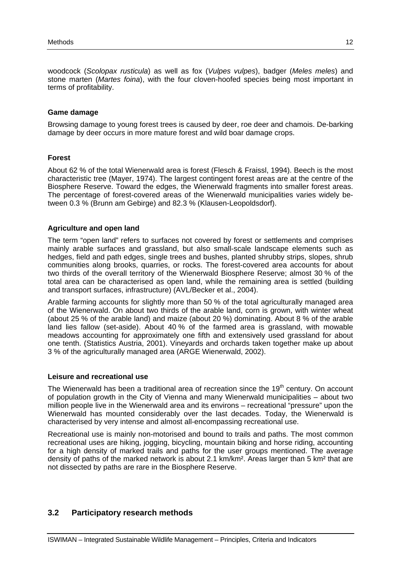woodcock (*Scolopax rusticula*) as well as fox (*Vulpes vulpes*), badger (*Meles meles*) and stone marten (*Martes foina*), with the four cloven-hoofed species being most important in terms of profitability.

### **Game damage**

Browsing damage to young forest trees is caused by deer, roe deer and chamois. De-barking damage by deer occurs in more mature forest and wild boar damage crops.

### **Forest**

About 62 % of the total Wienerwald area is forest (Flesch & Fraissl, 1994). Beech is the most characteristic tree (Mayer, 1974). The largest contingent forest areas are at the centre of the Biosphere Reserve. Toward the edges, the Wienerwald fragments into smaller forest areas. The percentage of forest-covered areas of the Wienerwald municipalities varies widely between 0.3 % (Brunn am Gebirge) and 82.3 % (Klausen-Leopoldsdorf).

### **Agriculture and open land**

The term "open land" refers to surfaces not covered by forest or settlements and comprises mainly arable surfaces and grassland, but also small-scale landscape elements such as hedges, field and path edges, single trees and bushes, planted shrubby strips, slopes, shrub communities along brooks, quarries, or rocks. The forest-covered area accounts for about two thirds of the overall territory of the Wienerwald Biosphere Reserve; almost 30 % of the total area can be characterised as open land, while the remaining area is settled (building and transport surfaces, infrastructure) (AVL/Becker et al., 2004).

Arable farming accounts for slightly more than 50 % of the total agriculturally managed area of the Wienerwald. On about two thirds of the arable land, corn is grown, with winter wheat (about 25 % of the arable land) and maize (about 20 %) dominating. About 8 % of the arable land lies fallow (set-aside). About 40 % of the farmed area is grassland, with mowable meadows accounting for approximately one fifth and extensively used grassland for about one tenth. (Statistics Austria, 2001). Vineyards and orchards taken together make up about 3 % of the agriculturally managed area (ARGE Wienerwald, 2002).

#### **Leisure and recreational use**

The Wienerwald has been a traditional area of recreation since the  $19<sup>th</sup>$  century. On account of population growth in the City of Vienna and many Wienerwald municipalities – about two million people live in the Wienerwald area and its environs – recreational "pressure" upon the Wienerwald has mounted considerably over the last decades. Today, the Wienerwald is characterised by very intense and almost all-encompassing recreational use.

Recreational use is mainly non-motorised and bound to trails and paths. The most common recreational uses are hiking, jogging, bicycling, mountain biking and horse riding, accounting for a high density of marked trails and paths for the user groups mentioned. The average density of paths of the marked network is about 2.1 km/km². Areas larger than 5 km² that are not dissected by paths are rare in the Biosphere Reserve.

# **3.2 Participatory research methods**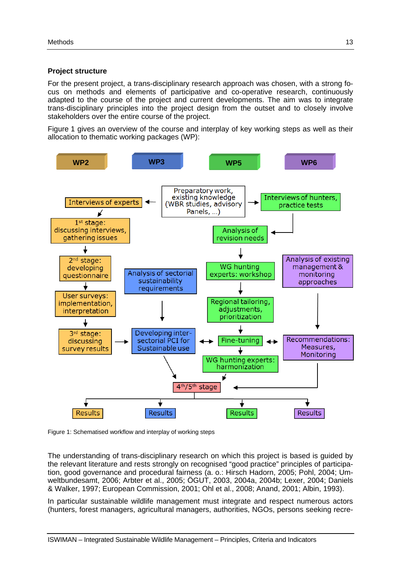#### **Project structure**

For the present project, a trans-disciplinary research approach was chosen, with a strong focus on methods and elements of participative and co-operative research, continuously adapted to the course of the project and current developments. The aim was to integrate trans-disciplinary principles into the project design from the outset and to closely involve stakeholders over the entire course of the project.

Figure 1 gives an overview of the course and interplay of key working steps as well as their allocation to thematic working packages (WP):



Figure 1: Schematised workflow and interplay of working steps

The understanding of trans-disciplinary research on which this project is based is guided by the relevant literature and rests strongly on recognised "good practice" principles of participation, good governance and procedural fairness (a. o.: Hirsch Hadorn, 2005; Pohl, 2004; Umweltbundesamt, 2006; Arbter et al., 2005; ÖGUT, 2003, 2004a, 2004b; Lexer, 2004; Daniels & Walker, 1997; European Commission, 2001; Ohl et al., 2008; Anand, 2001; Albin, 1993).

In particular sustainable wildlife management must integrate and respect numerous actors (hunters, forest managers, agricultural managers, authorities, NGOs, persons seeking recre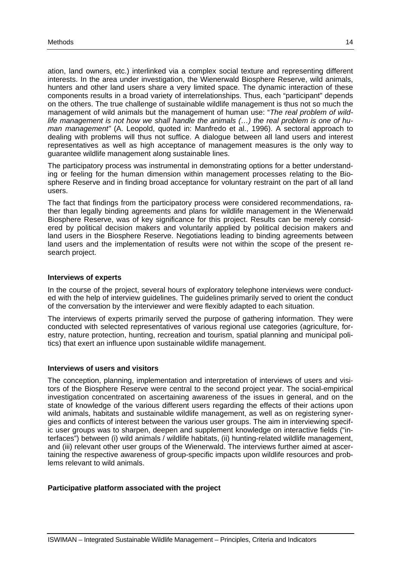ation, land owners, etc.) interlinked via a complex social texture and representing different interests. In the area under investigation, the Wienerwald Biosphere Reserve, wild animals, hunters and other land users share a very limited space. The dynamic interaction of these components results in a broad variety of interrelationships. Thus, each "participant" depends on the others. The true challenge of sustainable wildlife management is thus not so much the management of wild animals but the management of human use: "*The real problem of wildlife management is not how we shall handle the animals (…) the real problem is one of human management"* (A. Leopold, quoted in: Manfredo et al., 1996). A sectoral approach to dealing with problems will thus not suffice. A dialogue between all land users and interest representatives as well as high acceptance of management measures is the only way to guarantee wildlife management along sustainable lines.

The participatory process was instrumental in demonstrating options for a better understanding or feeling for the human dimension within management processes relating to the Biosphere Reserve and in finding broad acceptance for voluntary restraint on the part of all land users.

The fact that findings from the participatory process were considered recommendations, rather than legally binding agreements and plans for wildlife management in the Wienerwald Biosphere Reserve, was of key significance for this project. Results can be merely considered by political decision makers and voluntarily applied by political decision makers and land users in the Biosphere Reserve. Negotiations leading to binding agreements between land users and the implementation of results were not within the scope of the present research project.

#### **Interviews of experts**

In the course of the project, several hours of exploratory telephone interviews were conducted with the help of interview guidelines. The guidelines primarily served to orient the conduct of the conversation by the interviewer and were flexibly adapted to each situation.

The interviews of experts primarily served the purpose of gathering information. They were conducted with selected representatives of various regional use categories (agriculture, forestry, nature protection, hunting, recreation and tourism, spatial planning and municipal politics) that exert an influence upon sustainable wildlife management.

#### **Interviews of users and visitors**

The conception, planning, implementation and interpretation of interviews of users and visitors of the Biosphere Reserve were central to the second project year. The social-empirical investigation concentrated on ascertaining awareness of the issues in general, and on the state of knowledge of the various different users regarding the effects of their actions upon wild animals, habitats and sustainable wildlife management, as well as on registering synergies and conflicts of interest between the various user groups. The aim in interviewing specific user groups was to sharpen, deepen and supplement knowledge on interactive fields ("interfaces") between (i) wild animals / wildlife habitats, (ii) hunting-related wildlife management, and (iii) relevant other user groups of the Wienerwald. The interviews further aimed at ascertaining the respective awareness of group-specific impacts upon wildlife resources and problems relevant to wild animals.

#### **Participative platform associated with the project**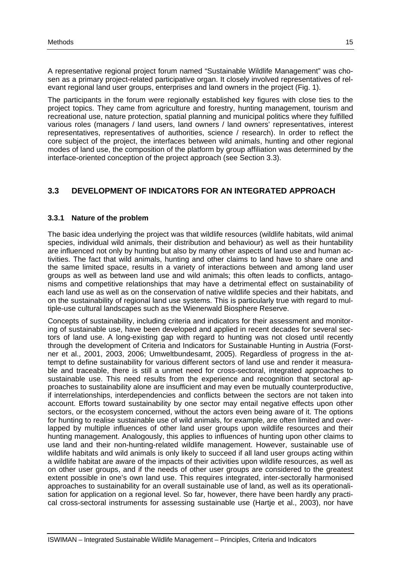A representative regional project forum named "Sustainable Wildlife Management" was chosen as a primary project-related participative organ. It closely involved representatives of relevant regional land user groups, enterprises and land owners in the project (Fig. 1).

The participants in the forum were regionally established key figures with close ties to the project topics. They came from agriculture and forestry, hunting management, tourism and recreational use, nature protection, spatial planning and municipal politics where they fulfilled various roles (managers / land users, land owners / land owners' representatives, interest representatives, representatives of authorities, science / research). In order to reflect the core subject of the project, the interfaces between wild animals, hunting and other regional modes of land use, the composition of the platform by group affiliation was determined by the interface-oriented conception of the project approach (see Section 3.3).

# **3.3 DEVELOPMENT OF INDICATORS FOR AN INTEGRATED APPROACH**

### **3.3.1 Nature of the problem**

The basic idea underlying the project was that wildlife resources (wildlife habitats, wild animal species, individual wild animals, their distribution and behaviour) as well as their huntability are influenced not only by hunting but also by many other aspects of land use and human activities. The fact that wild animals, hunting and other claims to land have to share one and the same limited space, results in a variety of interactions between and among land user groups as well as between land use and wild animals; this often leads to conflicts, antagonisms and competitive relationships that may have a detrimental effect on sustainability of each land use as well as on the conservation of native wildlife species and their habitats, and on the sustainability of regional land use systems. This is particularly true with regard to multiple-use cultural landscapes such as the Wienerwald Biosphere Reserve.

Concepts of sustainability, including criteria and indicators for their assessment and monitoring of sustainable use, have been developed and applied in recent decades for several sectors of land use. A long-existing gap with regard to hunting was not closed until recently through the development of Criteria and Indicators for Sustainable Hunting in Austria (Forstner et al., 2001, 2003, 2006; Umweltbundesamt, 2005). Regardless of progress in the attempt to define sustainability for various different sectors of land use and render it measurable and traceable, there is still a unmet need for cross-sectoral, integrated approaches to sustainable use. This need results from the experience and recognition that sectoral approaches to sustainability alone are insufficient and may even be mutually counterproductive, if interrelationships, interdependencies and conflicts between the sectors are not taken into account. Efforts toward sustainability by one sector may entail negative effects upon other sectors, or the ecosystem concerned, without the actors even being aware of it. The options for hunting to realise sustainable use of wild animals, for example, are often limited and overlapped by multiple influences of other land user groups upon wildlife resources and their hunting management. Analogously, this applies to influences of hunting upon other claims to use land and their non-hunting-related wildlife management. However, sustainable use of wildlife habitats and wild animals is only likely to succeed if all land user groups acting within a wildlife habitat are aware of the impacts of their activities upon wildlife resources, as well as on other user groups, and if the needs of other user groups are considered to the greatest extent possible in one's own land use. This requires integrated, inter-sectorally harmonised approaches to sustainability for an overall sustainable use of land, as well as its operationalisation for application on a regional level. So far, however, there have been hardly any practical cross-sectoral instruments for assessing sustainable use (Hartje et al., 2003), nor have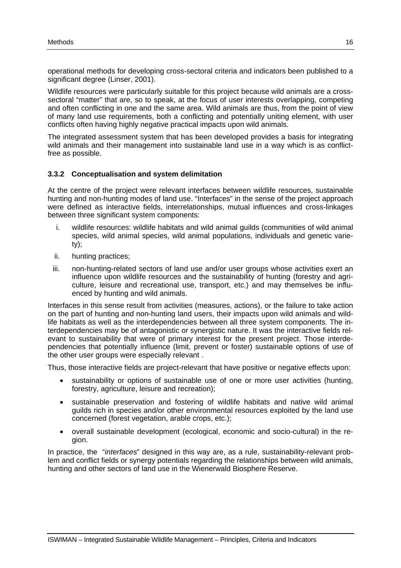operational methods for developing cross-sectoral criteria and indicators been published to a significant degree (Linser, 2001).

Wildlife resources were particularly suitable for this project because wild animals are a crosssectoral "matter" that are, so to speak, at the focus of user interests overlapping, competing and often conflicting in one and the same area. Wild animals are thus, from the point of view of many land use requirements, both a conflicting and potentially uniting element, with user conflicts often having highly negative practical impacts upon wild animals.

The integrated assessment system that has been developed provides a basis for integrating wild animals and their management into sustainable land use in a way which is as conflictfree as possible.

### **3.3.2 Conceptualisation and system delimitation**

At the centre of the project were relevant interfaces between wildlife resources, sustainable hunting and non-hunting modes of land use. "Interfaces" in the sense of the project approach were defined as interactive fields, interrelationships, mutual influences and cross-linkages between three significant system components:

- i. wildlife resources: wildlife habitats and wild animal guilds (communities of wild animal species, wild animal species, wild animal populations, individuals and genetic variety);
- ii. hunting practices;
- iii. non-hunting-related sectors of land use and/or user groups whose activities exert an influence upon wildlife resources and the sustainability of hunting (forestry and agriculture, leisure and recreational use, transport, etc.) and may themselves be influenced by hunting and wild animals.

Interfaces in this sense result from activities (measures, actions), or the failure to take action on the part of hunting and non-hunting land users, their impacts upon wild animals and wildlife habitats as well as the interdependencies between all three system components. The interdependencies may be of antagonistic or synergistic nature. It was the interactive fields relevant to sustainability that were of primary interest for the present project. Those interdependencies that potentially influence (limit, prevent or foster) sustainable options of use of the other user groups were especially relevant .

Thus, those interactive fields are project-relevant that have positive or negative effects upon:

- sustainability or options of sustainable use of one or more user activities (hunting, forestry, agriculture, leisure and recreation);
- sustainable preservation and fostering of wildlife habitats and native wild animal guilds rich in species and/or other environmental resources exploited by the land use concerned (forest vegetation, arable crops, etc.);
- overall sustainable development (ecological, economic and socio-cultural) in the region.

In practice, the "*interfaces*" designed in this way are, as a rule, sustainability-relevant problem and conflict fields or synergy potentials regarding the relationships between wild animals, hunting and other sectors of land use in the Wienerwald Biosphere Reserve.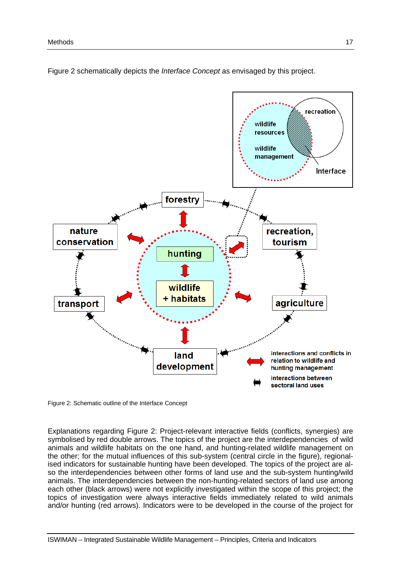

Figure 2 schematically depicts the *Interface Concept* as envisaged by this project.

Figure 2: Schematic outline of the Interface Concept

Explanations regarding Figure 2: Project-relevant interactive fields (conflicts, synergies) are symbolised by red double arrows. The topics of the project are the interdependencies of wild animals and wildlife habitats on the one hand, and hunting-related wildlife management on the other; for the mutual influences of this sub-system (central circle in the figure), regionalised indicators for sustainable hunting have been developed. The topics of the project are also the interdependencies between other forms of land use and the sub-system hunting/wild animals. The interdependencies between the non-hunting-related sectors of land use among each other (black arrows) were not explicitly investigated within the scope of this project; the topics of investigation were always interactive fields immediately related to wild animals and/or hunting (red arrows). Indicators were to be developed in the course of the project for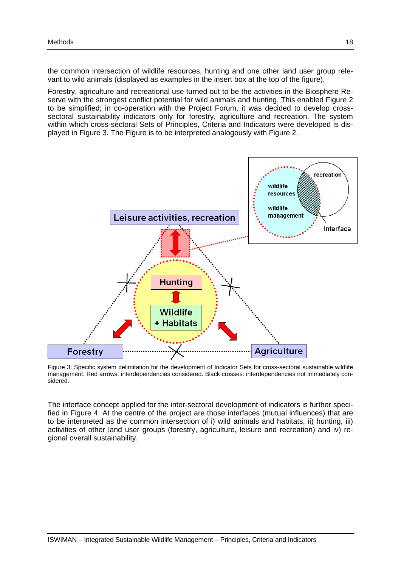the common intersection of wildlife resources, hunting and one other land user group relevant to wild animals (displayed as examples in the insert box at the top of the figure).

Forestry, agriculture and recreational use turned out to be the activities in the Biosphere Reserve with the strongest conflict potential for wild animals and hunting. This enabled Figure 2 to be simplified; in co-operation with the Project Forum, it was decided to develop crosssectoral sustainability indicators only for forestry, agriculture and recreation. The system within which cross-sectoral Sets of Principles, Criteria and Indicators were developed is displayed in Figure 3. The Figure is to be interpreted analogously with Figure 2.



Figure 3: Specific system delimitation for the development of Indicator Sets for cross-sectoral sustainable wildlife management. Red arrows: interdependencies considered. Black crosses: interdependencies not immediately considered.

The interface concept applied for the inter-sectoral development of indicators is further specified in Figure 4. At the centre of the project are those interfaces (mutual influences) that are to be interpreted as the common intersection of i) wild animals and habitats, ii) hunting, iii) activities of other land user groups (forestry, agriculture, leisure and recreation) and iv) regional overall sustainability.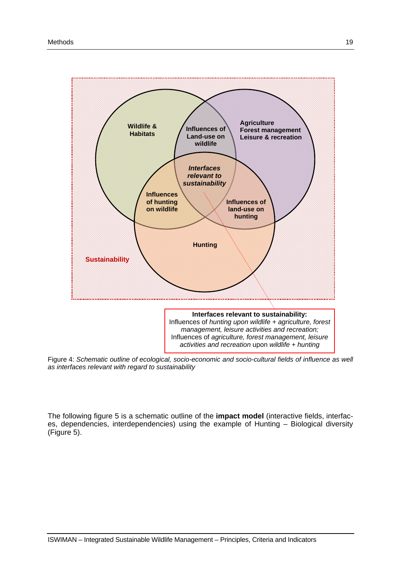

Figure 4: *Schematic outline of ecological, socio-economic and socio-cultural fields of influence as well as interfaces relevant with regard to sustainability* 

The following figure 5 is a schematic outline of the **impact model** (interactive fields, interfaces, dependencies, interdependencies) using the example of Hunting – Biological diversity (Figure 5).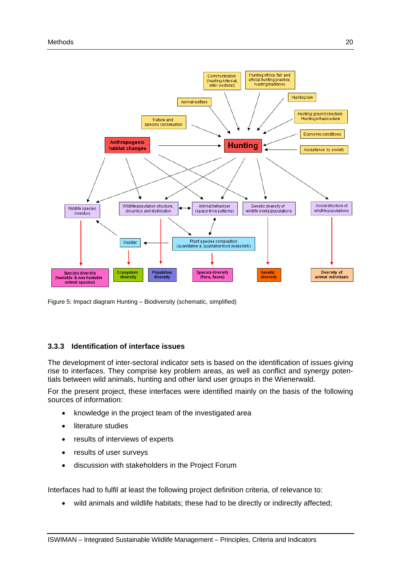

Figure 5: Impact diagram Hunting – Biodiversity (schematic, simplified)

### **3.3.3 Identification of interface issues**

The development of inter-sectoral indicator sets is based on the identification of issues giving rise to interfaces. They comprise key problem areas, as well as conflict and synergy potentials between wild animals, hunting and other land user groups in the Wienerwald.

For the present project, these interfaces were identified mainly on the basis of the following sources of information:

- knowledge in the project team of the investigated area
- literature studies
- results of interviews of experts
- results of user surveys
- discussion with stakeholders in the Project Forum

Interfaces had to fulfil at least the following project definition criteria, of relevance to:

wild animals and wildlife habitats; these had to be directly or indirectly affected;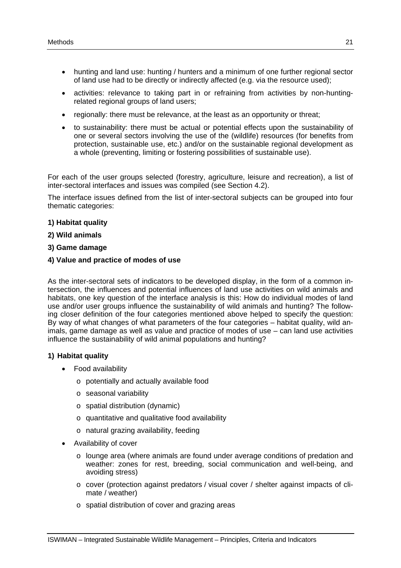- hunting and land use: hunting / hunters and a minimum of one further regional sector of land use had to be directly or indirectly affected (e.g. via the resource used);
- activities: relevance to taking part in or refraining from activities by non-huntingrelated regional groups of land users;
- regionally: there must be relevance, at the least as an opportunity or threat;
- to sustainability: there must be actual or potential effects upon the sustainability of one or several sectors involving the use of the (wildlife) resources (for benefits from protection, sustainable use, etc.) and/or on the sustainable regional development as a whole (preventing, limiting or fostering possibilities of sustainable use).

For each of the user groups selected (forestry, agriculture, leisure and recreation), a list of inter-sectoral interfaces and issues was compiled (see Section 4.2).

The interface issues defined from the list of inter-sectoral subjects can be grouped into four thematic categories:

#### **1) Habitat quality**

- **2) Wild animals**
- **3) Game damage**
- **4) Value and practice of modes of use**

As the inter-sectoral sets of indicators to be developed display, in the form of a common intersection, the influences and potential influences of land use activities on wild animals and habitats, one key question of the interface analysis is this: How do individual modes of land use and/or user groups influence the sustainability of wild animals and hunting? The following closer definition of the four categories mentioned above helped to specify the question: By way of what changes of what parameters of the four categories – habitat quality, wild animals, game damage as well as value and practice of modes of use – can land use activities influence the sustainability of wild animal populations and hunting?

#### **1) Habitat quality**

- Food availability
	- o potentially and actually available food
	- o seasonal variability
	- o spatial distribution (dynamic)
	- o quantitative and qualitative food availability
	- o natural grazing availability, feeding
- Availability of cover
	- $\circ$  lounge area (where animals are found under average conditions of predation and weather: zones for rest, breeding, social communication and well-being, and avoiding stress)
	- o cover (protection against predators / visual cover / shelter against impacts of climate / weather)
	- o spatial distribution of cover and grazing areas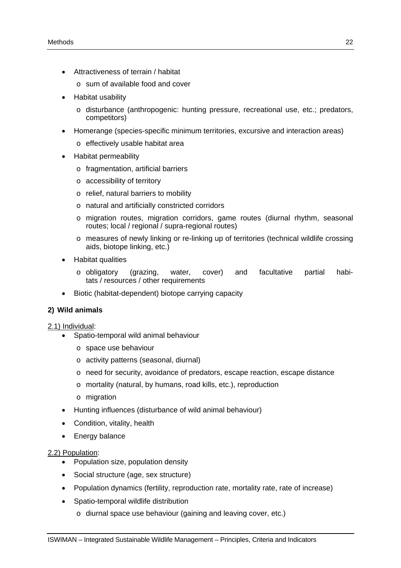- Attractiveness of terrain / habitat
	- o sum of available food and cover
- Habitat usability
	- o disturbance (anthropogenic: hunting pressure, recreational use, etc.; predators, competitors)
- Homerange (species-specific minimum territories, excursive and interaction areas)
	- o effectively usable habitat area
- Habitat permeability
	- o fragmentation, artificial barriers
	- o accessibility of territory
	- o relief, natural barriers to mobility
	- o natural and artificially constricted corridors
	- o migration routes, migration corridors, game routes (diurnal rhythm, seasonal routes; local / regional / supra-regional routes)
	- o measures of newly linking or re-linking up of territories (technical wildlife crossing aids, biotope linking, etc.)
- Habitat qualities
	- o obligatory (grazing, water, cover) and facultative partial habitats / resources / other requirements
- Biotic (habitat-dependent) biotope carrying capacity

# **2) Wild animals**

### 2.1) Individual:

- Spatio-temporal wild animal behaviour
	- o space use behaviour
	- o activity patterns (seasonal, diurnal)
	- o need for security, avoidance of predators, escape reaction, escape distance
	- o mortality (natural, by humans, road kills, etc.), reproduction
	- o migration
- Hunting influences (disturbance of wild animal behaviour)
- Condition, vitality, health
- Energy balance

### 2.2) Population:

- Population size, population density
- Social structure (age, sex structure)
- Population dynamics (fertility, reproduction rate, mortality rate, rate of increase)
- Spatio-temporal wildlife distribution
	- o diurnal space use behaviour (gaining and leaving cover, etc.)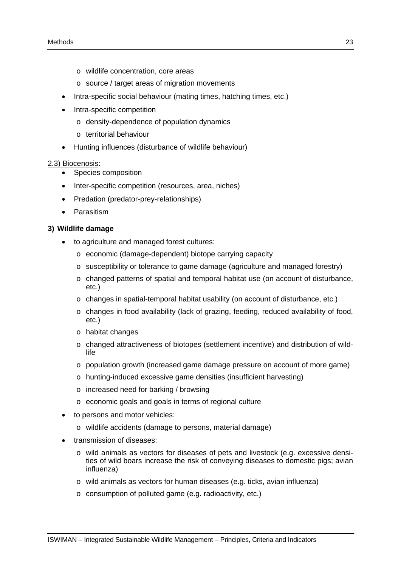- o wildlife concentration, core areas
- o source / target areas of migration movements
- Intra-specific social behaviour (mating times, hatching times, etc.)
- Intra-specific competition
	- o density-dependence of population dynamics
	- o territorial behaviour
- Hunting influences (disturbance of wildlife behaviour)

#### 2.3) Biocenosis:

- Species composition
- Inter-specific competition (resources, area, niches)
- Predation (predator-prey-relationships)
- Parasitism

#### **3) Wildlife damage**

- to agriculture and managed forest cultures:
	- o economic (damage-dependent) biotope carrying capacity
	- o susceptibility or tolerance to game damage (agriculture and managed forestry)
	- o changed patterns of spatial and temporal habitat use (on account of disturbance, etc.)
	- o changes in spatial-temporal habitat usability (on account of disturbance, etc.)
	- o changes in food availability (lack of grazing, feeding, reduced availability of food, etc.)
	- o habitat changes
	- $\circ$  changed attractiveness of biotopes (settlement incentive) and distribution of wildlife
	- o population growth (increased game damage pressure on account of more game)
	- o hunting-induced excessive game densities (insufficient harvesting)
	- o increased need for barking / browsing
	- o economic goals and goals in terms of regional culture
- to persons and motor vehicles:
	- o wildlife accidents (damage to persons, material damage)
- transmission of diseases:
	- o wild animals as vectors for diseases of pets and livestock (e.g. excessive densities of wild boars increase the risk of conveying diseases to domestic pigs; avian influenza)
	- o wild animals as vectors for human diseases (e.g. ticks, avian influenza)
	- o consumption of polluted game (e.g. radioactivity, etc.)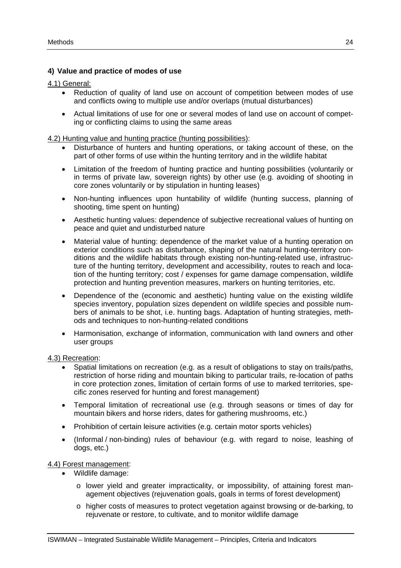### **4) Value and practice of modes of use**

4.1) General:

- Reduction of quality of land use on account of competition between modes of use and conflicts owing to multiple use and/or overlaps (mutual disturbances)
- Actual limitations of use for one or several modes of land use on account of competing or conflicting claims to using the same areas

4.2) Hunting value and hunting practice (hunting possibilities):

- Disturbance of hunters and hunting operations, or taking account of these, on the part of other forms of use within the hunting territory and in the wildlife habitat
- Limitation of the freedom of hunting practice and hunting possibilities (voluntarily or in terms of private law, sovereign rights) by other use (e.g. avoiding of shooting in core zones voluntarily or by stipulation in hunting leases)
- Non-hunting influences upon huntability of wildlife (hunting success, planning of shooting, time spent on hunting)
- Aesthetic hunting values: dependence of subjective recreational values of hunting on peace and quiet and undisturbed nature
- Material value of hunting: dependence of the market value of a hunting operation on exterior conditions such as disturbance, shaping of the natural hunting-territory conditions and the wildlife habitats through existing non-hunting-related use, infrastructure of the hunting territory, development and accessibility, routes to reach and location of the hunting territory; cost / expenses for game damage compensation, wildlife protection and hunting prevention measures, markers on hunting territories, etc.
- Dependence of the (economic and aesthetic) hunting value on the existing wildlife species inventory, population sizes dependent on wildlife species and possible numbers of animals to be shot, i.e. hunting bags. Adaptation of hunting strategies, methods and techniques to non-hunting-related conditions
- Harmonisation, exchange of information, communication with land owners and other user groups

#### 4.3) Recreation:

- Spatial limitations on recreation (e.g. as a result of obligations to stay on trails/paths, restriction of horse riding and mountain biking to particular trails, re-location of paths in core protection zones, limitation of certain forms of use to marked territories, specific zones reserved for hunting and forest management)
- Temporal limitation of recreational use (e.g. through seasons or times of day for mountain bikers and horse riders, dates for gathering mushrooms, etc.)
- Prohibition of certain leisure activities (e.g. certain motor sports vehicles)
- (Informal / non-binding) rules of behaviour (e.g. with regard to noise, leashing of dogs, etc.)

### 4.4) Forest management:

- Wildlife damage:
	- o lower yield and greater impracticality, or impossibility, of attaining forest management objectives (rejuvenation goals, goals in terms of forest development)
	- o higher costs of measures to protect vegetation against browsing or de-barking, to rejuvenate or restore, to cultivate, and to monitor wildlife damage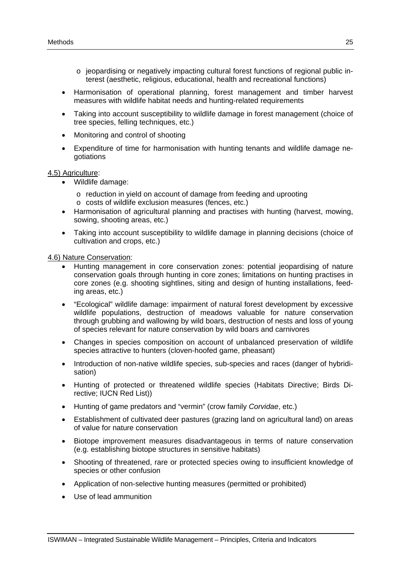- o jeopardising or negatively impacting cultural forest functions of regional public interest (aesthetic, religious, educational, health and recreational functions)
- Harmonisation of operational planning, forest management and timber harvest measures with wildlife habitat needs and hunting-related requirements
- Taking into account susceptibility to wildlife damage in forest management (choice of tree species, felling techniques, etc.)
- Monitoring and control of shooting
- Expenditure of time for harmonisation with hunting tenants and wildlife damage negotiations

#### 4.5) Agriculture:

- Wildlife damage:
	- o reduction in yield on account of damage from feeding and uprooting o costs of wildlife exclusion measures (fences, etc.)
- Harmonisation of agricultural planning and practises with hunting (harvest, mowing, sowing, shooting areas, etc.)
- Taking into account susceptibility to wildlife damage in planning decisions (choice of cultivation and crops, etc.)

4.6) Nature Conservation:

- Hunting management in core conservation zones: potential jeopardising of nature conservation goals through hunting in core zones; limitations on hunting practises in core zones (e.g. shooting sightlines, siting and design of hunting installations, feeding areas, etc.)
- "Ecological" wildlife damage: impairment of natural forest development by excessive wildlife populations, destruction of meadows valuable for nature conservation through grubbing and wallowing by wild boars, destruction of nests and loss of young of species relevant for nature conservation by wild boars and carnivores
- Changes in species composition on account of unbalanced preservation of wildlife species attractive to hunters (cloven-hoofed game, pheasant)
- Introduction of non-native wildlife species, sub-species and races (danger of hybridisation)
- Hunting of protected or threatened wildlife species (Habitats Directive; Birds Directive; IUCN Red List))
- Hunting of game predators and "vermin" (crow family *Corvidae*, etc.)
- Establishment of cultivated deer pastures (grazing land on agricultural land) on areas of value for nature conservation
- Biotope improvement measures disadvantageous in terms of nature conservation (e.g. establishing biotope structures in sensitive habitats)
- Shooting of threatened, rare or protected species owing to insufficient knowledge of species or other confusion
- Application of non-selective hunting measures (permitted or prohibited)
- Use of lead ammunition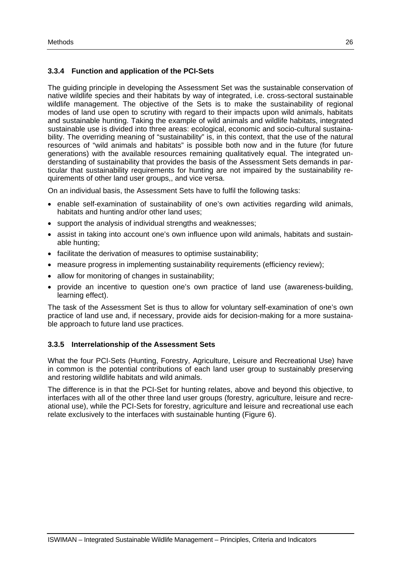# **3.3.4 Function and application of the PCI-Sets**

The guiding principle in developing the Assessment Set was the sustainable conservation of native wildlife species and their habitats by way of integrated, i.e. cross-sectoral sustainable wildlife management. The objective of the Sets is to make the sustainability of regional modes of land use open to scrutiny with regard to their impacts upon wild animals, habitats and sustainable hunting. Taking the example of wild animals and wildlife habitats, integrated sustainable use is divided into three areas: ecological, economic and socio-cultural sustainability. The overriding meaning of "sustainability" is, in this context, that the use of the natural resources of "wild animals and habitats" is possible both now and in the future (for future generations) with the available resources remaining qualitatively equal. The integrated understanding of sustainability that provides the basis of the Assessment Sets demands in particular that sustainability requirements for hunting are not impaired by the sustainability requirements of other land user groups,, and vice versa.

On an individual basis, the Assessment Sets have to fulfil the following tasks:

- enable self-examination of sustainability of one's own activities regarding wild animals, habitats and hunting and/or other land uses;
- support the analysis of individual strengths and weaknesses;
- assist in taking into account one's own influence upon wild animals, habitats and sustainable hunting;
- facilitate the derivation of measures to optimise sustainability;
- measure progress in implementing sustainability requirements (efficiency review);
- allow for monitoring of changes in sustainability;
- provide an incentive to question one's own practice of land use (awareness-building, learning effect).

The task of the Assessment Set is thus to allow for voluntary self-examination of one's own practice of land use and, if necessary, provide aids for decision-making for a more sustainable approach to future land use practices.

#### **3.3.5 Interrelationship of the Assessment Sets**

What the four PCI-Sets (Hunting, Forestry, Agriculture, Leisure and Recreational Use) have in common is the potential contributions of each land user group to sustainably preserving and restoring wildlife habitats and wild animals.

The difference is in that the PCI-Set for hunting relates, above and beyond this objective, to interfaces with all of the other three land user groups (forestry, agriculture, leisure and recreational use), while the PCI-Sets for forestry, agriculture and leisure and recreational use each relate exclusively to the interfaces with sustainable hunting (Figure 6).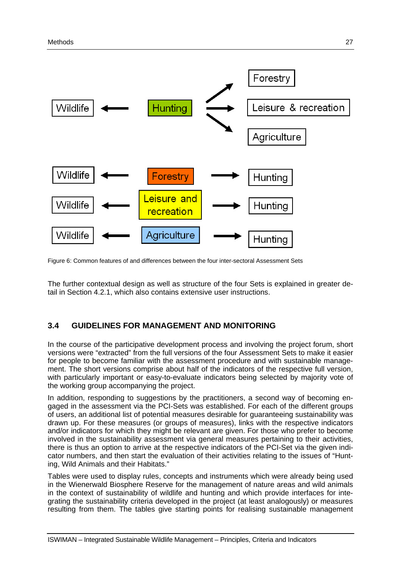

Figure 6: Common features of and differences between the four inter-sectoral Assessment Sets

The further contextual design as well as structure of the four Sets is explained in greater detail in Section 4.2.1, which also contains extensive user instructions.

# **3.4 GUIDELINES FOR MANAGEMENT AND MONITORING**

In the course of the participative development process and involving the project forum, short versions were "extracted" from the full versions of the four Assessment Sets to make it easier for people to become familiar with the assessment procedure and with sustainable management. The short versions comprise about half of the indicators of the respective full version, with particularly important or easy-to-evaluate indicators being selected by majority vote of the working group accompanying the project.

In addition, responding to suggestions by the practitioners, a second way of becoming engaged in the assessment via the PCI-Sets was established. For each of the different groups of users, an additional list of potential measures desirable for guaranteeing sustainability was drawn up. For these measures (or groups of measures), links with the respective indicators and/or indicators for which they might be relevant are given. For those who prefer to become involved in the sustainability assessment via general measures pertaining to their activities, there is thus an option to arrive at the respective indicators of the PCI-Set via the given indicator numbers, and then start the evaluation of their activities relating to the issues of "Hunting, Wild Animals and their Habitats."

Tables were used to display rules, concepts and instruments which were already being used in the Wienerwald Biosphere Reserve for the management of nature areas and wild animals in the context of sustainability of wildlife and hunting and which provide interfaces for integrating the sustainability criteria developed in the project (at least analogously) or measures resulting from them. The tables give starting points for realising sustainable management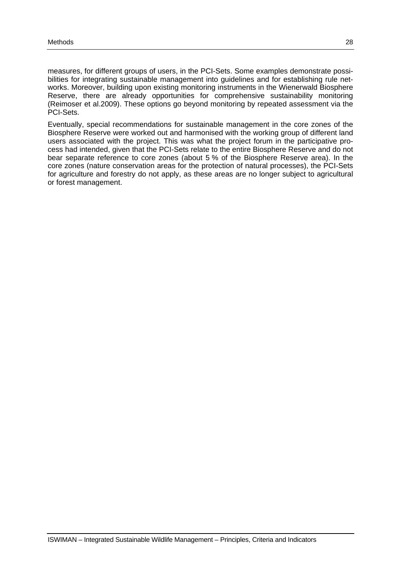measures, for different groups of users, in the PCI-Sets. Some examples demonstrate possibilities for integrating sustainable management into guidelines and for establishing rule networks. Moreover, building upon existing monitoring instruments in the Wienerwald Biosphere Reserve, there are already opportunities for comprehensive sustainability monitoring (Reimoser et al.2009). These options go beyond monitoring by repeated assessment via the PCI-Sets.

Eventually, special recommendations for sustainable management in the core zones of the Biosphere Reserve were worked out and harmonised with the working group of different land users associated with the project. This was what the project forum in the participative process had intended, given that the PCI-Sets relate to the entire Biosphere Reserve and do not bear separate reference to core zones (about 5 % of the Biosphere Reserve area). In the core zones (nature conservation areas for the protection of natural processes), the PCI-Sets for agriculture and forestry do not apply, as these areas are no longer subject to agricultural or forest management.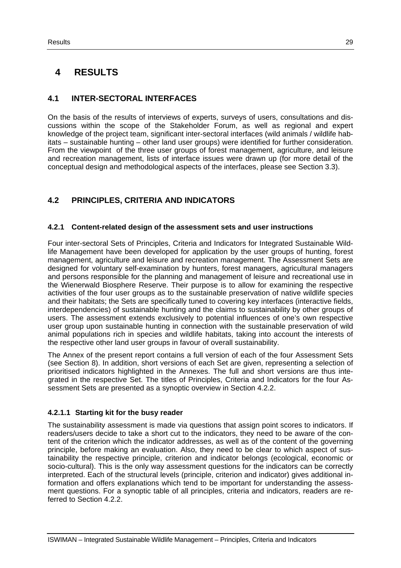# **4 RESULTS**

# **4.1 INTER-SECTORAL INTERFACES**

On the basis of the results of interviews of experts, surveys of users, consultations and discussions within the scope of the Stakeholder Forum, as well as regional and expert knowledge of the project team, significant inter-sectoral interfaces (wild animals / wildlife habitats – sustainable hunting – other land user groups) were identified for further consideration. From the viewpoint of the three user groups of forest management, agriculture, and leisure and recreation management, lists of interface issues were drawn up (for more detail of the conceptual design and methodological aspects of the interfaces, please see Section 3.3).

# **4.2 PRINCIPLES, CRITERIA AND INDICATORS**

# **4.2.1 Content-related design of the assessment sets and user instructions**

Four inter-sectoral Sets of Principles, Criteria and Indicators for Integrated Sustainable Wildlife Management have been developed for application by the user groups of hunting, forest management, agriculture and leisure and recreation management. The Assessment Sets are designed for voluntary self-examination by hunters, forest managers, agricultural managers and persons responsible for the planning and management of leisure and recreational use in the Wienerwald Biosphere Reserve. Their purpose is to allow for examining the respective activities of the four user groups as to the sustainable preservation of native wildlife species and their habitats; the Sets are specifically tuned to covering key interfaces (interactive fields, interdependencies) of sustainable hunting and the claims to sustainability by other groups of users. The assessment extends exclusively to potential influences of one's own respective user group upon sustainable hunting in connection with the sustainable preservation of wild animal populations rich in species and wildlife habitats, taking into account the interests of the respective other land user groups in favour of overall sustainability.

The Annex of the present report contains a full version of each of the four Assessment Sets (see Section 8). In addition, short versions of each Set are given, representing a selection of prioritised indicators highlighted in the Annexes. The full and short versions are thus integrated in the respective Set. The titles of Principles, Criteria and Indicators for the four Assessment Sets are presented as a synoptic overview in Section 4.2.2.

### **4.2.1.1 Starting kit for the busy reader**

The sustainability assessment is made via questions that assign point scores to indicators. If readers/users decide to take a short cut to the indicators, they need to be aware of the content of the criterion which the indicator addresses, as well as of the content of the governing principle, before making an evaluation. Also, they need to be clear to which aspect of sustainability the respective principle, criterion and indicator belongs (ecological, economic or socio-cultural). This is the only way assessment questions for the indicators can be correctly interpreted. Each of the structural levels (principle, criterion and indicator) gives additional information and offers explanations which tend to be important for understanding the assessment questions. For a synoptic table of all principles, criteria and indicators, readers are referred to Section 4.2.2.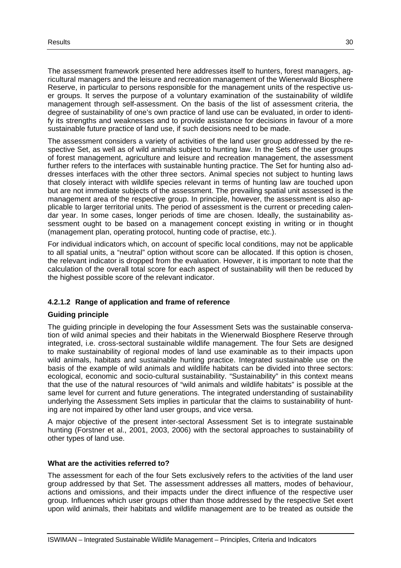The assessment framework presented here addresses itself to hunters, forest managers, agricultural managers and the leisure and recreation management of the Wienerwald Biosphere Reserve, in particular to persons responsible for the management units of the respective user groups. It serves the purpose of a voluntary examination of the sustainability of wildlife management through self-assessment. On the basis of the list of assessment criteria, the degree of sustainability of one's own practice of land use can be evaluated, in order to identify its strengths and weaknesses and to provide assistance for decisions in favour of a more sustainable future practice of land use, if such decisions need to be made.

The assessment considers a variety of activities of the land user group addressed by the respective Set, as well as of wild animals subject to hunting law. In the Sets of the user groups of forest management, agriculture and leisure and recreation management, the assessment further refers to the interfaces with sustainable hunting practice. The Set for hunting also addresses interfaces with the other three sectors. Animal species not subject to hunting laws that closely interact with wildlife species relevant in terms of hunting law are touched upon but are not immediate subjects of the assessment. The prevailing spatial unit assessed is the management area of the respective group. In principle, however, the assessment is also applicable to larger territorial units. The period of assessment is the current or preceding calendar year. In some cases, longer periods of time are chosen. Ideally, the sustainability assessment ought to be based on a management concept existing in writing or in thought (management plan, operating protocol, hunting code of practise, etc.).

For individual indicators which, on account of specific local conditions, may not be applicable to all spatial units, a "neutral" option without score can be allocated. If this option is chosen, the relevant indicator is dropped from the evaluation. However, it is important to note that the calculation of the overall total score for each aspect of sustainability will then be reduced by the highest possible score of the relevant indicator.

### **4.2.1.2 Range of application and frame of reference**

#### **Guiding principle**

The guiding principle in developing the four Assessment Sets was the sustainable conservation of wild animal species and their habitats in the Wienerwald Biosphere Reserve through integrated, i.e. cross-sectoral sustainable wildlife management. The four Sets are designed to make sustainability of regional modes of land use examinable as to their impacts upon wild animals, habitats and sustainable hunting practice. Integrated sustainable use on the basis of the example of wild animals and wildlife habitats can be divided into three sectors: ecological, economic and socio-cultural sustainability. "Sustainability" in this context means that the use of the natural resources of "wild animals and wildlife habitats" is possible at the same level for current and future generations. The integrated understanding of sustainability underlying the Assessment Sets implies in particular that the claims to sustainability of hunting are not impaired by other land user groups, and vice versa.

A major objective of the present inter-sectoral Assessment Set is to integrate sustainable hunting (Forstner et al., 2001, 2003, 2006) with the sectoral approaches to sustainability of other types of land use.

#### **What are the activities referred to?**

The assessment for each of the four Sets exclusively refers to the activities of the land user group addressed by that Set. The assessment addresses all matters, modes of behaviour, actions and omissions, and their impacts under the direct influence of the respective user group. Influences which user groups other than those addressed by the respective Set exert upon wild animals, their habitats and wildlife management are to be treated as outside the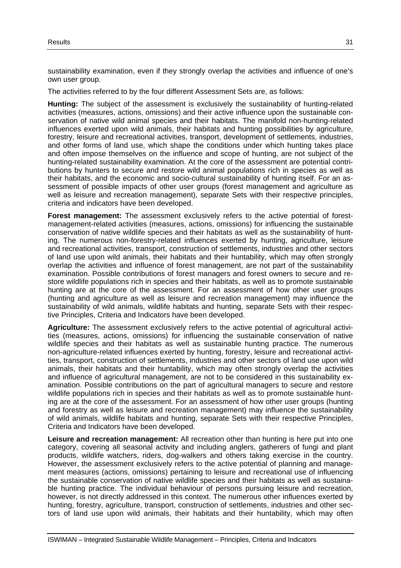sustainability examination, even if they strongly overlap the activities and influence of one's own user group.

The activities referred to by the four different Assessment Sets are, as follows:

**Hunting:** The subject of the assessment is exclusively the sustainability of hunting-related activities (measures, actions, omissions) and their active influence upon the sustainable conservation of native wild animal species and their habitats. The manifold non-hunting-related influences exerted upon wild animals, their habitats and hunting possibilities by agriculture, forestry, leisure and recreational activities, transport, development of settlements, industries, and other forms of land use, which shape the conditions under which hunting takes place and often impose themselves on the influence and scope of hunting, are not subject of the hunting-related sustainability examination. At the core of the assessment are potential contributions by hunters to secure and restore wild animal populations rich in species as well as their habitats, and the economic and socio-cultural sustainability of hunting itself. For an assessment of possible impacts of other user groups (forest management and agriculture as well as leisure and recreation management), separate Sets with their respective principles, criteria and indicators have been developed.

**Forest management:** The assessment exclusively refers to the active potential of forestmanagement-related activities (measures, actions, omissions) for influencing the sustainable conservation of native wildlife species and their habitats as well as the sustainability of hunting. The numerous non-forestry-related influences exerted by hunting, agriculture, leisure and recreational activities, transport, construction of settlements, industries and other sectors of land use upon wild animals, their habitats and their huntability, which may often strongly overlap the activities and influence of forest management, are not part of the sustainability examination. Possible contributions of forest managers and forest owners to secure and restore wildlife populations rich in species and their habitats, as well as to promote sustainable hunting are at the core of the assessment. For an assessment of how other user groups (hunting and agriculture as well as leisure and recreation management) may influence the sustainability of wild animals, wildlife habitats and hunting, separate Sets with their respective Principles, Criteria and Indicators have been developed.

**Agriculture:** The assessment exclusively refers to the active potential of agricultural activities (measures, actions, omissions) for influencing the sustainable conservation of native wildlife species and their habitats as well as sustainable hunting practice. The numerous non-agriculture-related influences exerted by hunting, forestry, leisure and recreational activities, transport, construction of settlements, industries and other sectors of land use upon wild animals, their habitats and their huntability, which may often strongly overlap the activities and influence of agricultural management, are not to be considered in this sustainability examination. Possible contributions on the part of agricultural managers to secure and restore wildlife populations rich in species and their habitats as well as to promote sustainable hunting are at the core of the assessment. For an assessment of how other user groups (hunting and forestry as well as leisure and recreation management) may influence the sustainability of wild animals, wildlife habitats and hunting, separate Sets with their respective Principles, Criteria and Indicators have been developed.

**Leisure and recreation management:** All recreation other than hunting is here put into one category, covering all seasonal activity and including anglers, gatherers of fungi and plant products, wildlife watchers, riders, dog-walkers and others taking exercise in the country. However, the assessment exclusively refers to the active potential of planning and management measures (actions, omissions) pertaining to leisure and recreational use of influencing the sustainable conservation of native wildlife species and their habitats as well as sustainable hunting practice. The individual behaviour of persons pursuing leisure and recreation, however, is not directly addressed in this context. The numerous other influences exerted by hunting, forestry, agriculture, transport, construction of settlements, industries and other sectors of land use upon wild animals, their habitats and their huntability, which may often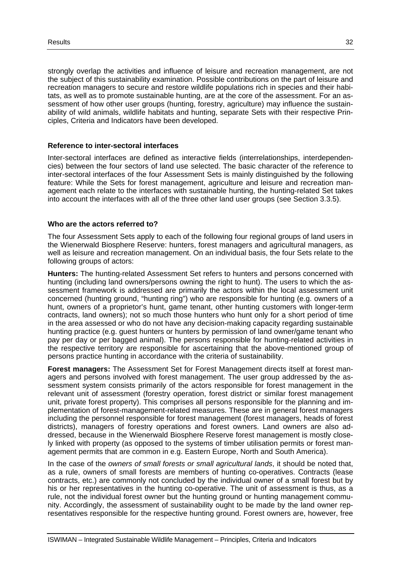strongly overlap the activities and influence of leisure and recreation management, are not the subject of this sustainability examination. Possible contributions on the part of leisure and recreation managers to secure and restore wildlife populations rich in species and their habitats, as well as to promote sustainable hunting, are at the core of the assessment. For an assessment of how other user groups (hunting, forestry, agriculture) may influence the sustainability of wild animals, wildlife habitats and hunting, separate Sets with their respective Principles, Criteria and Indicators have been developed.

#### **Reference to inter-sectoral interfaces**

Inter-sectoral interfaces are defined as interactive fields (interrelationships, interdependencies) between the four sectors of land use selected. The basic character of the reference to inter-sectoral interfaces of the four Assessment Sets is mainly distinguished by the following feature: While the Sets for forest management, agriculture and leisure and recreation management each relate to the interfaces with sustainable hunting, the hunting-related Set takes into account the interfaces with all of the three other land user groups (see Section 3.3.5).

#### **Who are the actors referred to?**

The four Assessment Sets apply to each of the following four regional groups of land users in the Wienerwald Biosphere Reserve: hunters, forest managers and agricultural managers, as well as leisure and recreation management. On an individual basis, the four Sets relate to the following groups of actors:

**Hunters:** The hunting-related Assessment Set refers to hunters and persons concerned with hunting (including land owners/persons owning the right to hunt). The users to which the assessment framework is addressed are primarily the actors within the local assessment unit concerned (hunting ground, "hunting ring") who are responsible for hunting (e.g. owners of a hunt, owners of a proprietor's hunt, game tenant, other hunting customers with longer-term contracts, land owners); not so much those hunters who hunt only for a short period of time in the area assessed or who do not have any decision-making capacity regarding sustainable hunting practice (e.g. guest hunters or hunters by permission of land owner/game tenant who pay per day or per bagged animal). The persons responsible for hunting-related activities in the respective territory are responsible for ascertaining that the above-mentioned group of persons practice hunting in accordance with the criteria of sustainability.

**Forest managers:** The Assessment Set for Forest Management directs itself at forest managers and persons involved with forest management. The user group addressed by the assessment system consists primarily of the actors responsible for forest management in the relevant unit of assessment (forestry operation, forest district or similar forest management unit, private forest property). This comprises all persons responsible for the planning and implementation of forest-management-related measures. These are in general forest managers including the personnel responsible for forest management (forest managers, heads of forest districts), managers of forestry operations and forest owners. Land owners are also addressed, because in the Wienerwald Biosphere Reserve forest management is mostly closely linked with property (as opposed to the systems of timber utilisation permits or forest management permits that are common in e.g. Eastern Europe, North and South America).

In the case of the *owners of small forests or small agricultural lands*, it should be noted that, as a rule, owners of small forests are members of hunting co-operatives. Contracts (lease contracts, etc.) are commonly not concluded by the individual owner of a small forest but by his or her representatives in the hunting co-operative. The unit of assessment is thus, as a rule, not the individual forest owner but the hunting ground or hunting management community. Accordingly, the assessment of sustainability ought to be made by the land owner representatives responsible for the respective hunting ground. Forest owners are, however, free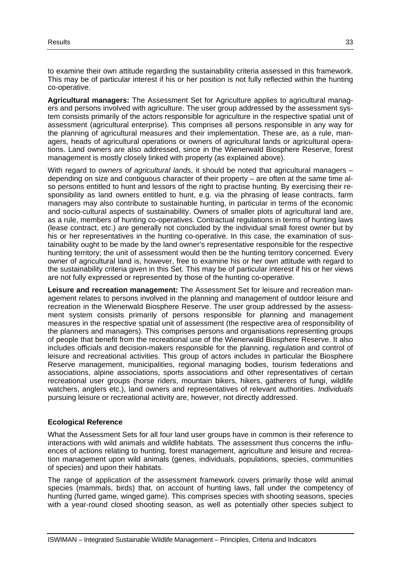to examine their own attitude regarding the sustainability criteria assessed in this framework. This may be of particular interest if his or her position is not fully reflected within the hunting co-operative.

**Agricultural managers:** The Assessment Set for Agriculture applies to agricultural managers and persons involved with agriculture. The user group addressed by the assessment system consists primarily of the actors responsible for agriculture in the respective spatial unit of assessment (agricultural enterprise). This comprises all persons responsible in any way for the planning of agricultural measures and their implementation. These are, as a rule, managers, heads of agricultural operations or owners of agricultural lands or agricultural operations. Land owners are also addressed, since in the Wienerwald Biosphere Reserve, forest management is mostly closely linked with property (as explained above).

With regard to *owners of agricultural lands*, it should be noted that agricultural managers – depending on size and contiguous character of their property – are often at the same time also persons entitled to hunt and lessors of the right to practise hunting. By exercising their responsibility as land owners entitled to hunt, e.g. via the phrasing of lease contracts, farm managers may also contribute to sustainable hunting, in particular in terms of the economic and socio-cultural aspects of sustainability. Owners of smaller plots of agricultural land are, as a rule, members of hunting co-operatives. Contractual regulations in terms of hunting laws (lease contract, etc.) are generally not concluded by the individual small forest owner but by his or her representatives in the hunting co-operative. In this case, the examination of sustainability ought to be made by the land owner's representative responsible for the respective hunting territory; the unit of assessment would then be the hunting territory concerned. Every owner of agricultural land is, however, free to examine his or her own attitude with regard to the sustainability criteria given in this Set. This may be of particular interest if his or her views are not fully expressed or represented by those of the hunting co-operative.

**Leisure and recreation management:** The Assessment Set for leisure and recreation management relates to persons involved in the planning and management of outdoor leisure and recreation in the Wienerwald Biosphere Reserve. The user group addressed by the assessment system consists primarily of persons responsible for planning and management measures in the respective spatial unit of assessment (the respective area of responsibility of the planners and managers). This comprises persons and organisations representing groups of people that benefit from the recreational use of the Wienerwald Biosphere Reserve. It also includes officials and decision-makers responsible for the planning, regulation and control of leisure and recreational activities. This group of actors includes in particular the Biosphere Reserve management, municipalities, regional managing bodies, tourism federations and associations, alpine associations, sports associations and other representatives of certain recreational user groups (horse riders, mountain bikers, hikers, gatherers of fungi, wildlife watchers, anglers etc.), land owners and representatives of relevant authorities. *Individuals*  pursuing leisure or recreational activity are, however, not directly addressed.

#### **Ecological Reference**

What the Assessment Sets for all four land user groups have in common is their reference to interactions with wild animals and wildlife habitats. The assessment thus concerns the influences of actions relating to hunting, forest management, agriculture and leisure and recreation management upon wild animals (genes, individuals, populations, species, communities of species) and upon their habitats.

The range of application of the assessment framework covers primarily those wild animal species (mammals, birds) that, on account of hunting laws, fall under the competency of hunting (furred game, winged game). This comprises species with shooting seasons, species with a year-round closed shooting season, as well as potentially other species subject to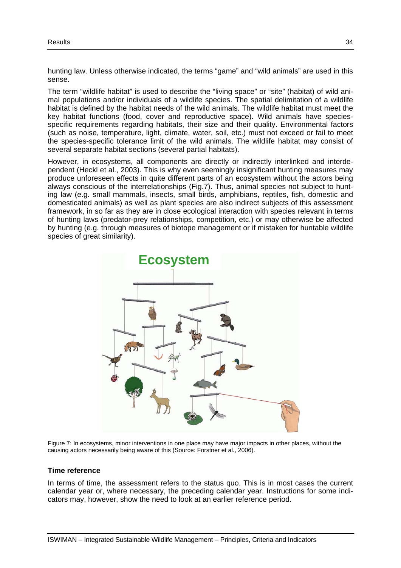hunting law. Unless otherwise indicated, the terms "game" and "wild animals" are used in this sense.

The term "wildlife habitat" is used to describe the "living space" or "site" (habitat) of wild animal populations and/or individuals of a wildlife species. The spatial delimitation of a wildlife habitat is defined by the habitat needs of the wild animals. The wildlife habitat must meet the key habitat functions (food, cover and reproductive space). Wild animals have speciesspecific requirements regarding habitats, their size and their quality. Environmental factors (such as noise, temperature, light, climate, water, soil, etc.) must not exceed or fail to meet the species-specific tolerance limit of the wild animals. The wildlife habitat may consist of several separate habitat sections (several partial habitats).

However, in ecosystems, all components are directly or indirectly interlinked and interdependent (Heckl et al., 2003). This is why even seemingly insignificant hunting measures may produce unforeseen effects in quite different parts of an ecosystem without the actors being always conscious of the interrelationships (Fig.7). Thus, animal species not subject to hunting law (e.g. small mammals, insects, small birds, amphibians, reptiles, fish, domestic and domesticated animals) as well as plant species are also indirect subjects of this assessment framework, in so far as they are in close ecological interaction with species relevant in terms of hunting laws (predator-prey relationships, competition, etc.) or may otherwise be affected by hunting (e.g. through measures of biotope management or if mistaken for huntable wildlife species of great similarity).



Figure 7: In ecosystems, minor interventions in one place may have major impacts in other places, without the causing actors necessarily being aware of this (Source: Forstner et al., 2006).

#### **Time reference**

In terms of time, the assessment refers to the status quo. This is in most cases the current calendar year or, where necessary, the preceding calendar year. Instructions for some indicators may, however, show the need to look at an earlier reference period.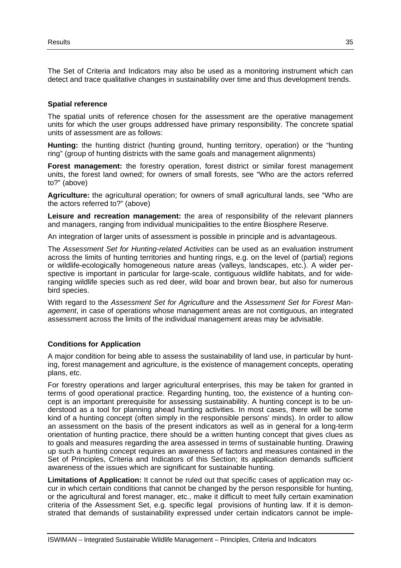The Set of Criteria and Indicators may also be used as a monitoring instrument which can detect and trace qualitative changes in sustainability over time and thus development trends.

#### **Spatial reference**

The spatial units of reference chosen for the assessment are the operative management units for which the user groups addressed have primary responsibility. The concrete spatial units of assessment are as follows:

**Hunting:** the hunting district (hunting ground, hunting territory, operation) or the "hunting ring" (group of hunting districts with the same goals and management alignments)

**Forest management:** the forestry operation, forest district or similar forest management units, the forest land owned; for owners of small forests, see "Who are the actors referred to?" (above)

**Agriculture:** the agricultural operation; for owners of small agricultural lands, see "Who are the actors referred to?" (above)

**Leisure and recreation management:** the area of responsibility of the relevant planners and managers, ranging from individual municipalities to the entire Biosphere Reserve.

An integration of larger units of assessment is possible in principle and is advantageous.

The *Assessment Set for Hunting-related Activities* can be used as an evaluation instrument across the limits of hunting territories and hunting rings, e.g. on the level of (partial) regions or wildlife-ecologically homogeneous nature areas (valleys, landscapes, etc.). A wider perspective is important in particular for large-scale, contiguous wildlife habitats, and for wideranging wildlife species such as red deer, wild boar and brown bear, but also for numerous bird species.

With regard to the *Assessment Set for Agriculture* and the *Assessment Set for Forest Management*, in case of operations whose management areas are not contiguous, an integrated assessment across the limits of the individual management areas may be advisable.

#### **Conditions for Application**

A major condition for being able to assess the sustainability of land use, in particular by hunting, forest management and agriculture, is the existence of management concepts, operating plans, etc.

For forestry operations and larger agricultural enterprises, this may be taken for granted in terms of good operational practice. Regarding hunting, too, the existence of a hunting concept is an important prerequisite for assessing sustainability. A hunting concept is to be understood as a tool for planning ahead hunting activities. In most cases, there will be some kind of a hunting concept (often simply in the responsible persons' minds). In order to allow an assessment on the basis of the present indicators as well as in general for a long-term orientation of hunting practice, there should be a written hunting concept that gives clues as to goals and measures regarding the area assessed in terms of sustainable hunting. Drawing up such a hunting concept requires an awareness of factors and measures contained in the Set of Principles, Criteria and Indicators of this Section; its application demands sufficient awareness of the issues which are significant for sustainable hunting.

**Limitations of Application:** It cannot be ruled out that specific cases of application may occur in which certain conditions that cannot be changed by the person responsible for hunting, or the agricultural and forest manager, etc., make it difficult to meet fully certain examination criteria of the Assessment Set, e.g. specific legal provisions of hunting law. If it is demonstrated that demands of sustainability expressed under certain indicators cannot be imple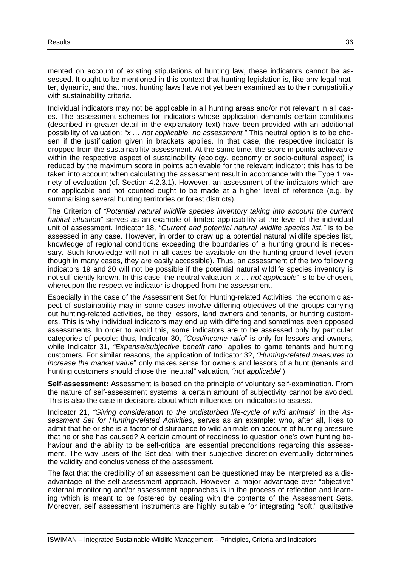mented on account of existing stipulations of hunting law, these indicators cannot be assessed. It ought to be mentioned in this context that hunting legislation is, like any legal matter, dynamic, and that most hunting laws have not yet been examined as to their compatibility with sustainability criteria.

Individual indicators may not be applicable in all hunting areas and/or not relevant in all cases. The assessment schemes for indicators whose application demands certain conditions (described in greater detail in the explanatory text) have been provided with an additional possibility of valuation: *"x … not applicable, no assessment."* This neutral option is to be chosen if the justification given in brackets applies. In that case, the respective indicator is dropped from the sustainability assessment. At the same time, the score in points achievable within the respective aspect of sustainability (ecology, economy or socio-cultural aspect) is reduced by the maximum score in points achievable for the relevant indicator; this has to be taken into account when calculating the assessment result in accordance with the Type 1 variety of evaluation (cf. Section 4.2.3.1). However, an assessment of the indicators which are not applicable and not counted ought to be made at a higher level of reference (e.g. by summarising several hunting territories or forest districts).

The Criterion of *"Potential natural wildlife species inventory taking into account the current habitat situation*" serves as an example of limited applicability at the level of the individual unit of assessment. Indicator 18, *"Current and potential natural wildlife species list,"* is to be assessed in any case. However, in order to draw up a potential natural wildlife species list, knowledge of regional conditions exceeding the boundaries of a hunting ground is necessary. Such knowledge will not in all cases be available on the hunting-ground level (even though in many cases, they are easily accessible). Thus, an assessment of the two following indicators 19 and 20 will not be possible if the potential natural wildlife species inventory is not sufficiently known. In this case, the neutral valuation *"x … not applicable*" is to be chosen, whereupon the respective indicator is dropped from the assessment.

Especially in the case of the Assessment Set for Hunting-related Activities, the economic aspect of sustainability may in some cases involve differing objectives of the groups carrying out hunting-related activities, be they lessors, land owners and tenants, or hunting customers. This is why individual indicators may end up with differing and sometimes even opposed assessments. In order to avoid this, some indicators are to be assessed only by particular categories of people: thus, Indicator 30, *"Cost/income ratio*" is only for lessors and owners, while Indicator 31, *"Expense/subjective benefit ratio*" applies to game tenants and hunting customers. For similar reasons, the application of Indicator 32, *"Hunting-related measures to increase the market value*" only makes sense for owners and lessors of a hunt (tenants and hunting customers should chose the "neutral" valuation, *"not applicable*").

**Self-assessment:** Assessment is based on the principle of voluntary self-examination. From the nature of self-assessment systems, a certain amount of subjectivity cannot be avoided. This is also the case in decisions about which influences on indicators to assess.

Indicator 21, *"Giving consideration to the undisturbed life-cycle of wild animals*" in the *Assessment Set for Hunting-related Activities*, serves as an example: who, after all, likes to admit that he or she is a factor of disturbance to wild animals on account of hunting pressure that he or she has caused? A certain amount of readiness to question one's own hunting behaviour and the ability to be self-critical are essential preconditions regarding this assessment. The way users of the Set deal with their subjective discretion eventually determines the validity and conclusiveness of the assessment.

The fact that the credibility of an assessment can be questioned may be interpreted as a disadvantage of the self-assessment approach. However, a major advantage over "objective" external monitoring and/or assessment approaches is in the process of reflection and learning which is meant to be fostered by dealing with the contents of the Assessment Sets. Moreover, self assessment instruments are highly suitable for integrating "soft," qualitative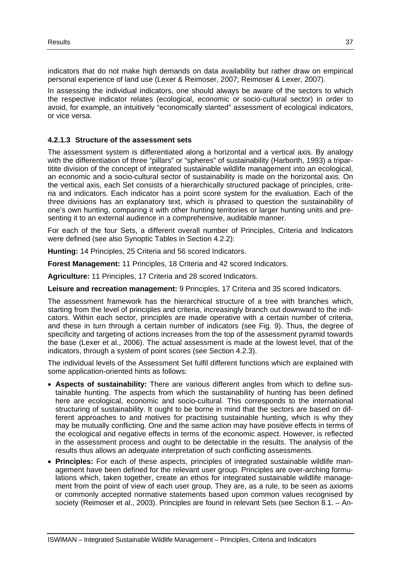indicators that do not make high demands on data availability but rather draw on empirical personal experience of land use (Lexer & Reimoser, 2007; Reimoser & Lexer, 2007).

In assessing the individual indicators, one should always be aware of the sectors to which the respective indicator relates (ecological, economic or socio-cultural sector) in order to avoid, for example, an intuitively "economically slanted" assessment of ecological indicators, or vice versa.

### **4.2.1.3 Structure of the assessment sets**

The assessment system is differentiated along a horizontal and a vertical axis. By analogy with the differentiation of three "pillars" or "spheres" of sustainability (Harborth, 1993) a tripartitite division of the concept of integrated sustainable wildlife management into an ecological, an economic and a socio-cultural sector of sustainability is made on the horizontal axis. On the vertical axis, each Set consists of a hierarchically structured package of principles, criteria and indicators. Each indicator has a point score system for the evaluation. Each of the three divisions has an explanatory text, which is phrased to question the sustainability of one's own hunting, comparing it with other hunting territories or larger hunting units and presenting it to an external audience in a comprehensive, auditable manner.

For each of the four Sets, a different overall number of Principles, Criteria and Indicators were defined (see also Synoptic Tables in Section 4.2.2):

**Hunting:** 14 Principles, 25 Criteria and 56 scored Indicators.

**Forest Management:** 11 Principles, 18 Criteria and 42 scored Indicators.

**Agriculture:** 11 Principles, 17 Criteria and 28 scored Indicators.

**Leisure and recreation management:** 9 Principles, 17 Criteria and 35 scored Indicators.

The assessment framework has the hierarchical structure of a tree with branches which, starting from the level of principles and criteria, increasingly branch out downward to the indicators. Within each sector, principles are made operative with a certain number of criteria, and these in turn through a certain number of indicators (see Fig. 9). Thus, the degree of specificity and targeting of actions increases from the top of the assessment pyramid towards the base (Lexer et al., 2006). The actual assessment is made at the lowest level, that of the indicators, through a system of point scores (see Section 4.2.3).

The individual levels of the Assessment Set fulfil different functions which are explained with some application-oriented hints as follows:

- **Aspects of sustainability:** There are various different angles from which to define sustainable hunting. The aspects from which the sustainability of hunting has been defined here are ecological, economic and socio-cultural. This corresponds to the international structuring of sustainability. It ought to be borne in mind that the sectors are based on different approaches to and motives for practising sustainable hunting, which is why they may be mutually conflicting. One and the same action may have positive effects in terms of the ecological and negative effects in terms of the economic aspect. However, is reflected in the assessment process and ought to be detectable in the results. The analysis of the results thus allows an adequate interpretation of such conflicting assessments.
- **Principles:** For each of these aspects, principles of integrated sustainable wildlife management have been defined for the relevant user group. Principles are over-arching formulations which, taken together, create an ethos for integrated sustainable wildlife management from the point of view of each user group. They are, as a rule, to be seen as axioms or commonly accepted normative statements based upon common values recognised by society (Reimoser et al., 2003). Principles are found in relevant Sets (see Section 8.1. – An-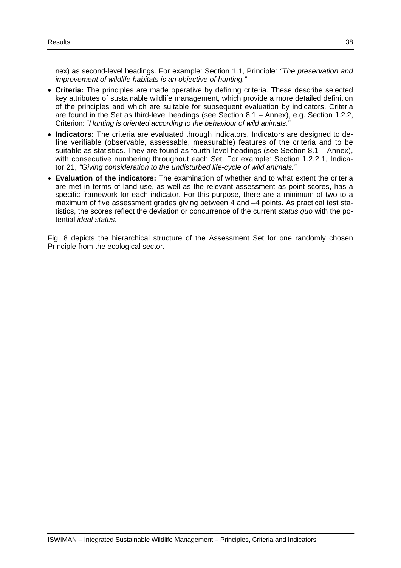nex) as second-level headings. For example: Section 1.1, Principle: *"The preservation and improvement of wildlife habitats is an objective of hunting."*

- **Criteria:** The principles are made operative by defining criteria. These describe selected key attributes of sustainable wildlife management, which provide a more detailed definition of the principles and which are suitable for subsequent evaluation by indicators. Criteria are found in the Set as third-level headings (see Section 8.1 – Annex), e.g. Section 1.2.2, Criterion: "*Hunting is oriented according to the behaviour of wild animals."*
- **Indicators:** The criteria are evaluated through indicators. Indicators are designed to define verifiable (observable, assessable, measurable) features of the criteria and to be suitable as statistics. They are found as fourth-level headings (see Section 8.1 – Annex), with consecutive numbering throughout each Set. For example: Section 1.2.2.1, Indicator 21, *"*G*iving consideration to the undisturbed life-cycle of wild animals."*
- **Evaluation of the indicators:** The examination of whether and to what extent the criteria are met in terms of land use, as well as the relevant assessment as point scores, has a specific framework for each indicator. For this purpose, there are a minimum of two to a maximum of five assessment grades giving between 4 and –4 points. As practical test statistics, the scores reflect the deviation or concurrence of the current *status quo* with the potential *ideal status*.

Fig. 8 depicts the hierarchical structure of the Assessment Set for one randomly chosen Principle from the ecological sector.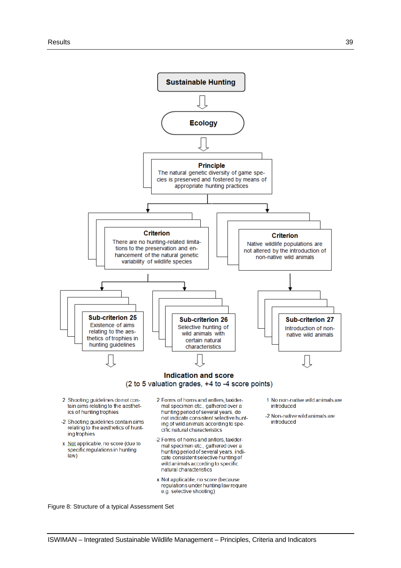

Figure 8: Structure of a typical Assessment Set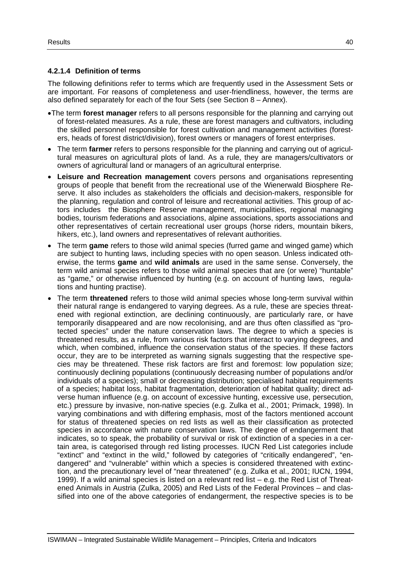### **4.2.1.4 Definition of terms**

The following definitions refer to terms which are frequently used in the Assessment Sets or are important. For reasons of completeness and user-friendliness, however, the terms are also defined separately for each of the four Sets (see Section 8 – Annex).

- The term **forest manager** refers to all persons responsible for the planning and carrying out of forest-related measures. As a rule, these are forest managers and cultivators, including the skilled personnel responsible for forest cultivation and management activities (foresters, heads of forest district/division), forest owners or managers of forest enterprises.
- The term **farmer** refers to persons responsible for the planning and carrying out of agricultural measures on agricultural plots of land. As a rule, they are managers/cultivators or owners of agricultural land or managers of an agricultural enterprise.
- **Leisure and Recreation management** covers persons and organisations representing groups of people that benefit from the recreational use of the Wienerwald Biosphere Reserve. It also includes as stakeholders the officials and decision-makers, responsible for the planning, regulation and control of leisure and recreational activities. This group of actors includes the Biosphere Reserve management, municipalities, regional managing bodies, tourism federations and associations, alpine associations, sports associations and other representatives of certain recreational user groups (horse riders, mountain bikers, hikers, etc.), land owners and representatives of relevant authorities.
- The term **game** refers to those wild animal species (furred game and winged game) which are subject to hunting laws, including species with no open season. Unless indicated otherwise, the terms **game** and **wild animals** are used in the same sense. Conversely, the term wild animal species refers to those wild animal species that are (or were) "huntable" as "game," or otherwise influenced by hunting (e.g. on account of hunting laws, regulations and hunting practise).
- The term **threatened** refers to those wild animal species whose long-term survival within their natural range is endangered to varying degrees. As a rule, these are species threatened with regional extinction, are declining continuously, are particularly rare, or have temporarily disappeared and are now recolonising, and are thus often classified as "protected species" under the nature conservation laws. The degree to which a species is threatened results, as a rule, from various risk factors that interact to varying degrees, and which, when combined, influence the conservation status of the species. If these factors occur, they are to be interpreted as warning signals suggesting that the respective species may be threatened. These risk factors are first and foremost: low population size; continuously declining populations (continuously decreasing number of populations and/or individuals of a species); small or decreasing distribution; specialised habitat requirements of a species; habitat loss, habitat fragmentation, deterioration of habitat quality; direct adverse human influence (e.g. on account of excessive hunting, excessive use, persecution, etc.) pressure by invasive, non-native species (e.g. Zulka et al., 2001; Primack, 1998). In varying combinations and with differing emphasis, most of the factors mentioned account for status of threatened species on red lists as well as their classification as protected species in accordance with nature conservation laws. The degree of endangerment that indicates, so to speak, the probability of survival or risk of extinction of a species in a certain area, is categorised through red listing processes. IUCN Red List categories include "extinct" and "extinct in the wild," followed by categories of "critically endangered", "endangered" and "vulnerable" within which a species is considered threatened with extinction, and the precautionary level of "near threatened" (e.g. Zulka et al., 2001; IUCN, 1994, 1999). If a wild animal species is listed on a relevant red list – e.g. the Red List of Threatened Animals in Austria (Zulka, 2005) and Red Lists of the Federal Provinces – and classified into one of the above categories of endangerment, the respective species is to be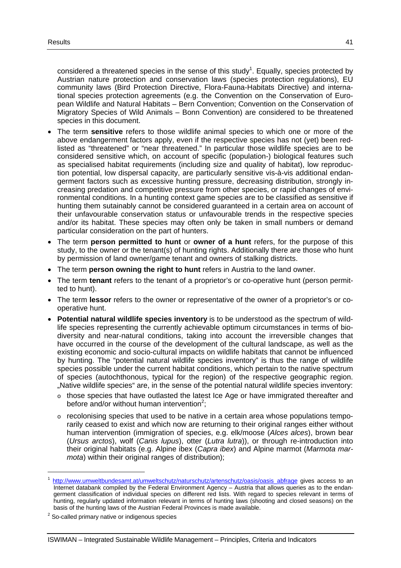considered a threatened species in the sense of this study<sup>1</sup>. Equally, species protected by Austrian nature protection and conservation laws (species protection regulations), EU community laws (Bird Protection Directive, Flora-Fauna-Habitats Directive) and international species protection agreements (e.g. the Convention on the Conservation of European Wildlife and Natural Habitats – Bern Convention; Convention on the Conservation of Migratory Species of Wild Animals – Bonn Convention) are considered to be threatened species in this document.

- The term **sensitive** refers to those wildlife animal species to which one or more of the above endangerment factors apply, even if the respective species has not (yet) been redlisted as "threatened" or "near threatened." In particular those wildlife species are to be considered sensitive which, on account of specific (population-) biological features such as specialised habitat requirements (including size and quality of habitat), low reproduction potential, low dispersal capacity, are particularly sensitive vis-à-vis additional endangerment factors such as excessive hunting pressure, decreasing distribution, strongly increasing predation and competitive pressure from other species, or rapid changes of environmental conditions. In a hunting context game species are to be classified as sensitive if hunting them sutainably cannot be considered guaranteed in a certain area on account of their unfavourable conservation status or unfavourable trends in the respective species and/or its habitat. These species may often only be taken in small numbers or demand particular consideration on the part of hunters.
- The term **person permitted to hunt** or **owner of a hunt** refers, for the purpose of this study, to the owner or the tenant(s) of hunting rights. Additionally there are those who hunt by permission of land owner/game tenant and owners of stalking districts.
- The term **person owning the right to hunt** refers in Austria to the land owner.
- The term **tenant** refers to the tenant of a proprietor's or co-operative hunt (person permitted to hunt).
- The term **lessor** refers to the owner or representative of the owner of a proprietor's or cooperative hunt.
- **Potential natural wildlife species inventory** is to be understood as the spectrum of wildlife species representing the currently achievable optimum circumstances in terms of biodiversity and near-natural conditions, taking into account the irreversible changes that have occurred in the course of the development of the cultural landscape, as well as the existing economic and socio-cultural impacts on wildlife habitats that cannot be influenced by hunting. The "potential natural wildlife species inventory" is thus the range of wildlife species possible under the current habitat conditions, which pertain to the native spectrum of species (autochthonous, typical for the region) of the respective geographic region. "Native wildlife species" are, in the sense of the potential natural wildlife species inventory:
	- $\circ$  those species that have outlasted the latest Ice Age or have immigrated thereafter and before and/or without human intervention<sup>2</sup>;
	- $\circ$  recolonising species that used to be native in a certain area whose populations temporarily ceased to exist and which now are returning to their original ranges either without human intervention (immigration of species, e.g. elk/moose (*Alces alces*), brown bear (*Ursus arctos*), wolf (*Canis lupus*), otter (*Lutra lutra*)), or through re-introduction into their original habitats (e.g. Alpine ibex (*Capra ibex*) and Alpine marmot (*Marmota marmota*) within their original ranges of distribution);

-

http://www.umweltbundesamt.at/umweltschutz/naturschutz/artenschutz/oasis/oasis\_abfrage\_gives\_access\_to\_an Internet databank compiled by the Federal Environment Agency – Austria that allows queries as to the endangerment classification of individual species on different red lists. With regard to species relevant in terms of hunting, regularly updated information relevant in terms of hunting laws (shooting and closed seasons) on the basis of the hunting laws of the Austrian Federal Provinces is made available.

 $2$  So-called primary native or indigenous species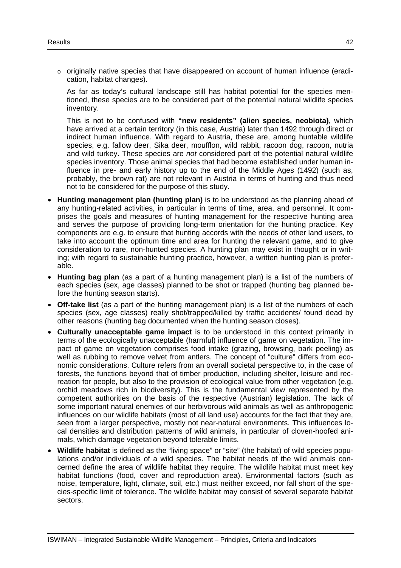o originally native species that have disappeared on account of human influence (eradication, habitat changes).

As far as today's cultural landscape still has habitat potential for the species mentioned, these species are to be considered part of the potential natural wildlife species inventory.

This is not to be confused with **"new residents" (alien species, neobiota)**, which have arrived at a certain territory (in this case, Austria) later than 1492 through direct or indirect human influence. With regard to Austria, these are, among huntable wildlife species, e.g. fallow deer, Sika deer, moufflon, wild rabbit, racoon dog, racoon, nutria and wild turkey. These species are *not* considered part of the potential natural wildlife species inventory. Those animal species that had become established under human influence in pre- and early history up to the end of the Middle Ages (1492) (such as, probably, the brown rat) are not relevant in Austria in terms of hunting and thus need not to be considered for the purpose of this study.

- **Hunting management plan (hunting plan)** is to be understood as the planning ahead of any hunting-related activities, in particular in terms of time, area, and personnel. It comprises the goals and measures of hunting management for the respective hunting area and serves the purpose of providing long-term orientation for the hunting practice. Key components are e.g. to ensure that hunting accords with the needs of other land users, to take into account the optimum time and area for hunting the relevant game, and to give consideration to rare, non-hunted species. A hunting plan may exist in thought or in writing; with regard to sustainable hunting practice, however, a written hunting plan is preferable.
- **Hunting bag plan** (as a part of a hunting management plan) is a list of the numbers of each species (sex, age classes) planned to be shot or trapped (hunting bag planned before the hunting season starts).
- **Off-take list** (as a part of the hunting management plan) is a list of the numbers of each species (sex, age classes) really shot/trapped/killed by traffic accidents/ found dead by other reasons (hunting bag documented when the hunting season closes).
- **Culturally unacceptable game impact** is to be understood in this context primarily in terms of the ecologically unacceptable (harmful) influence of game on vegetation. The impact of game on vegetation comprises food intake (grazing, browsing, bark peeling) as well as rubbing to remove velvet from antlers. The concept of "culture" differs from economic considerations. Culture refers from an overall societal perspective to, in the case of forests, the functions beyond that of timber production, including shelter, leisure and recreation for people, but also to the provision of ecological value from other vegetation (e.g. orchid meadows rich in biodiversity). This is the fundamental view represented by the competent authorities on the basis of the respective (Austrian) legislation. The lack of some important natural enemies of our herbivorous wild animals as well as anthropogenic influences on our wildlife habitats (most of all land use) accounts for the fact that they are, seen from a larger perspective, mostly not near-natural environments. This influences local densities and distribution patterns of wild animals, in particular of cloven-hoofed animals, which damage vegetation beyond tolerable limits.
- **Wildlife habitat** is defined as the "living space" or "site" (the habitat) of wild species populations and/or individuals of a wild species. The habitat needs of the wild animals concerned define the area of wildlife habitat they require. The wildlife habitat must meet key habitat functions (food, cover and reproduction area). Environmental factors (such as noise, temperature, light, climate, soil, etc.) must neither exceed, nor fall short of the species-specific limit of tolerance. The wildlife habitat may consist of several separate habitat sectors.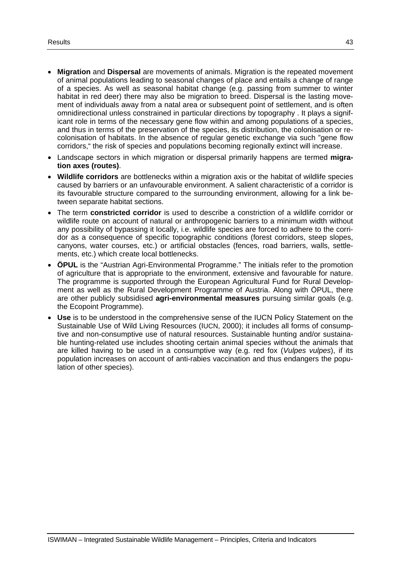- **Migration** and **Dispersal** are movements of animals. Migration is the repeated movement of animal populations leading to seasonal changes of place and entails a change of range of a species. As well as seasonal habitat change (e.g. passing from summer to winter habitat in red deer) there may also be migration to breed. Dispersal is the lasting movement of individuals away from a natal area or subsequent point of settlement, and is often omnidirectional unless constrained in particular directions by topography . It plays a significant role in terms of the necessary gene flow within and among populations of a species, and thus in terms of the preservation of the species, its distribution, the colonisation or recolonisation of habitats. In the absence of regular genetic exchange via such "gene flow corridors," the risk of species and populations becoming regionally extinct will increase.
- Landscape sectors in which migration or dispersal primarily happens are termed **migration axes (routes)**.
- **Wildlife corridors** are bottlenecks within a migration axis or the habitat of wildlife species caused by barriers or an unfavourable environment. A salient characteristic of a corridor is its favourable structure compared to the surrounding environment, allowing for a link between separate habitat sections.
- The term **constricted corridor** is used to describe a constriction of a wildlife corridor or wildlife route on account of natural or anthropogenic barriers to a minimum width without any possibility of bypassing it locally, i.e. wildlife species are forced to adhere to the corridor as a consequence of specific topographic conditions (forest corridors, steep slopes, canyons, water courses, etc.) or artificial obstacles (fences, road barriers, walls, settlements, etc.) which create local bottlenecks.
- **ÖPUL** is the "Austrian Agri-Environmental Programme." The initials refer to the promotion of agriculture that is appropriate to the environment, extensive and favourable for nature. The programme is supported through the European Agricultural Fund for Rural Development as well as the Rural Development Programme of Austria. Along with ÖPUL, there are other publicly subsidised **agri-environmental measures** pursuing similar goals (e.g. the Ecopoint Programme).
- **Use** is to be understood in the comprehensive sense of the IUCN Policy Statement on the Sustainable Use of Wild Living Resources (IUCN, 2000); it includes all forms of consumptive and non-consumptive use of natural resources. Sustainable hunting and/or sustainable hunting-related use includes shooting certain animal species without the animals that are killed having to be used in a consumptive way (e.g. red fox (*Vulpes vulpes*), if its population increases on account of anti-rabies vaccination and thus endangers the population of other species).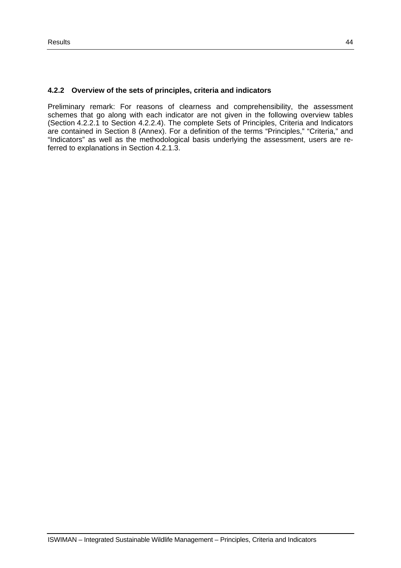### **4.2.2 Overview of the sets of principles, criteria and indicators**

Preliminary remark: For reasons of clearness and comprehensibility, the assessment schemes that go along with each indicator are not given in the following overview tables (Section 4.2.2.1 to Section 4.2.2.4). The complete Sets of Principles, Criteria and Indicators are contained in Section 8 (Annex). For a definition of the terms "Principles," "Criteria," and "Indicators" as well as the methodological basis underlying the assessment, users are referred to explanations in Section 4.2.1.3.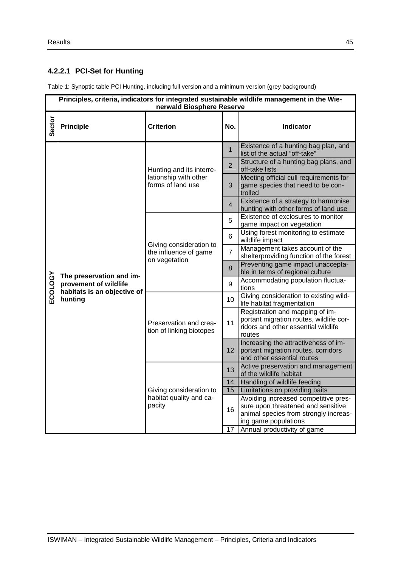# **4.2.2.1 PCI-Set for Hunting**

Table 1: Synoptic table PCI Hunting, including full version and a minimum version (grey background)

|                | Principles, criteria, indicators for integrated sustainable wildlife management in the Wie-<br>nerwald Biosphere Reserve |                                                                   |                |                                                                                                                                             |  |  |
|----------------|--------------------------------------------------------------------------------------------------------------------------|-------------------------------------------------------------------|----------------|---------------------------------------------------------------------------------------------------------------------------------------------|--|--|
| Sector         | <b>Principle</b>                                                                                                         | <b>Criterion</b>                                                  | No.            | <b>Indicator</b>                                                                                                                            |  |  |
|                |                                                                                                                          |                                                                   | $\mathbf{1}$   | Existence of a hunting bag plan, and<br>list of the actual "off-take"                                                                       |  |  |
|                |                                                                                                                          | Hunting and its interre-                                          | $\overline{2}$ | Structure of a hunting bag plans, and<br>off-take lists                                                                                     |  |  |
|                |                                                                                                                          | lationship with other<br>forms of land use                        | 3              | Meeting official cull requirements for<br>game species that need to be con-<br>trolled                                                      |  |  |
|                |                                                                                                                          |                                                                   | $\overline{4}$ | Existence of a strategy to harmonise<br>hunting with other forms of land use                                                                |  |  |
|                | The preservation and im-<br>provement of wildlife<br>habitats is an objective of<br>hunting                              |                                                                   | 5              | Existence of exclosures to monitor<br>game impact on vegetation                                                                             |  |  |
|                |                                                                                                                          | Giving consideration to<br>the influence of game<br>on vegetation | 6              | Using forest monitoring to estimate<br>wildlife impact                                                                                      |  |  |
|                |                                                                                                                          |                                                                   | $\overline{7}$ | Management takes account of the<br>shelterproviding function of the forest                                                                  |  |  |
|                |                                                                                                                          |                                                                   | 8              | Preventing game impact unaccepta-<br>ble in terms of regional culture                                                                       |  |  |
| <b>ECOLOGY</b> |                                                                                                                          |                                                                   | 9              | Accommodating population fluctua-<br>tions                                                                                                  |  |  |
|                |                                                                                                                          |                                                                   | 10             | Giving consideration to existing wild-<br>life habitat fragmentation                                                                        |  |  |
|                |                                                                                                                          | Preservation and crea-<br>tion of linking biotopes                | 11             | Registration and mapping of im-<br>portant migration routes, wildlife cor-<br>ridors and other essential wildlife<br>routes                 |  |  |
|                |                                                                                                                          |                                                                   | 12             | Increasing the attractiveness of im-<br>portant migration routes, corridors<br>and other essential routes                                   |  |  |
|                |                                                                                                                          |                                                                   | 13             | Active preservation and management<br>of the wildlife habitat                                                                               |  |  |
|                |                                                                                                                          |                                                                   | 14             | Handling of wildlife feeding                                                                                                                |  |  |
|                |                                                                                                                          | Giving consideration to                                           | 15             | Limitations on providing baits                                                                                                              |  |  |
|                |                                                                                                                          | habitat quality and ca-<br>pacity                                 | 16             | Avoiding increased competitive pres-<br>sure upon threatened and sensitive<br>animal species from strongly increas-<br>ing game populations |  |  |
|                |                                                                                                                          |                                                                   | 17             | Annual productivity of game                                                                                                                 |  |  |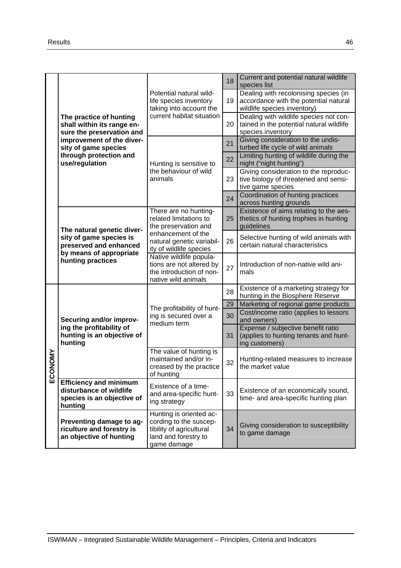|              |                                                                                                                                 |                                                                                                                                                                                                                                                                 | 18 | Current and potential natural wildlife<br>species list                                                        |
|--------------|---------------------------------------------------------------------------------------------------------------------------------|-----------------------------------------------------------------------------------------------------------------------------------------------------------------------------------------------------------------------------------------------------------------|----|---------------------------------------------------------------------------------------------------------------|
|              |                                                                                                                                 | Potential natural wild-<br>life species inventory<br>taking into account the                                                                                                                                                                                    | 19 | Dealing with recolonising species (in<br>accordance with the potential natural<br>wildlife species inventory) |
|              | The practice of hunting<br>shall within its range en-<br>sure the preservation and                                              | current habitat situation                                                                                                                                                                                                                                       | 20 | Dealing with wildlife species not con-<br>tained in the potential natural wildlife<br>species inventory       |
|              | improvement of the diver-<br>sity of game species                                                                               |                                                                                                                                                                                                                                                                 | 21 | Giving consideration to the undis-<br>turbed life cycle of wild animals                                       |
|              | through protection and<br>use/regulation                                                                                        | Hunting is sensitive to                                                                                                                                                                                                                                         | 22 | Limiting hunting of wildlife during the<br>night ("night hunting")                                            |
|              |                                                                                                                                 | the behaviour of wild<br>animals                                                                                                                                                                                                                                | 23 | Giving consideration to the reproduc-<br>tive biology of threatened and sensi-<br>tive game species           |
|              |                                                                                                                                 |                                                                                                                                                                                                                                                                 | 24 | Coordination of hunting practices<br>across hunting grounds                                                   |
|              | The natural genetic diver-<br>sity of game species is<br>preserved and enhanced<br>by means of appropriate<br>hunting practices | There are no hunting-<br>related limitations to<br>the preservation and<br>enhancement of the<br>natural genetic variabil-<br>ity of wildlife species<br>Native wildlife popula-<br>tions are not altered by<br>the introduction of non-<br>native wild animals |    | Existence of aims relating to the aes-<br>thetics of hunting trophies in hunting<br>guidelines                |
|              |                                                                                                                                 |                                                                                                                                                                                                                                                                 |    | Selective hunting of wild animals with<br>certain natural characteristics                                     |
|              |                                                                                                                                 |                                                                                                                                                                                                                                                                 |    | Introduction of non-native wild ani-<br>mals                                                                  |
|              |                                                                                                                                 |                                                                                                                                                                                                                                                                 | 28 | Existence of a marketing strategy for<br>hunting in the Biosphere Reserve                                     |
|              |                                                                                                                                 | The profitability of hunt-<br>ing is secured over a<br>medium term                                                                                                                                                                                              | 29 | Marketing of regional game products<br>Cost/income ratio (applies to lessors                                  |
|              | Securing and/or improv-                                                                                                         |                                                                                                                                                                                                                                                                 | 30 | and owners)                                                                                                   |
|              | ing the profitability of<br>hunting is an objective of<br>hunting                                                               |                                                                                                                                                                                                                                                                 |    | Expense / subjective benefit ratio<br>(applies to hunting tenants and hunt-<br>ing customers)                 |
| <b>ONOMY</b> |                                                                                                                                 | The value of hunting is<br>maintained and/or in-<br>creased by the practice<br>of hunting                                                                                                                                                                       |    | Hunting-related measures to increase<br>the market value                                                      |
| ပူ           | <b>Efficiency and minimum</b><br>disturbance of wildlife<br>species is an objective of<br>hunting                               | Existence of a time-<br>and area-specific hunt-<br>ing strategy                                                                                                                                                                                                 | 33 | Existence of an economically sound,<br>time- and area-specific hunting plan                                   |
|              | Preventing damage to ag-<br>riculture and forestry is<br>an objective of hunting                                                | Hunting is oriented ac-<br>cording to the suscep-<br>tibility of agricultural<br>land and forestry to<br>game damage                                                                                                                                            | 34 | Giving consideration to susceptibility<br>to game damage                                                      |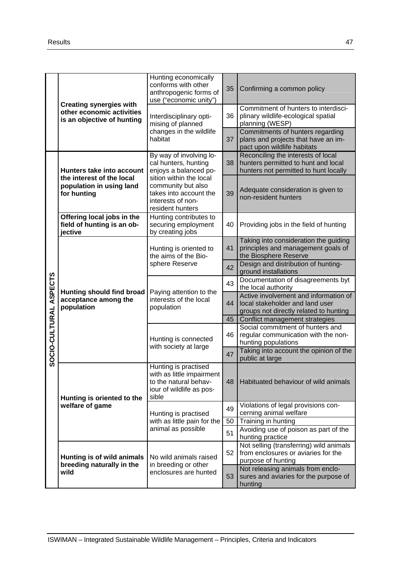|                        | <b>Creating synergies with</b><br>other economic activities<br>is an objective of hunting | Hunting economically<br>conforms with other<br>anthropogenic forms of<br>use ("economic unity")                       | 35 | Confirming a common policy                                                                                         |
|------------------------|-------------------------------------------------------------------------------------------|-----------------------------------------------------------------------------------------------------------------------|----|--------------------------------------------------------------------------------------------------------------------|
|                        |                                                                                           | Interdisciplinary opti-<br>mising of planned                                                                          | 36 | Commitment of hunters to interdisci-<br>plinary wildlife-ecological spatial<br>planning (WESP)                     |
|                        |                                                                                           | changes in the wildlife<br>habitat                                                                                    | 37 | Commitments of hunters regarding<br>plans and projects that have an im-<br>pact upon wildlife habitats             |
|                        | Hunters take into account                                                                 | By way of involving lo-<br>cal hunters, hunting<br>enjoys a balanced po-                                              | 38 | Reconciling the interests of local<br>hunters permitted to hunt and local<br>hunters not permitted to hunt locally |
|                        | the interest of the local<br>population in using land<br>for hunting                      | sition within the local<br>community but also<br>takes into account the<br>interests of non-<br>resident hunters      |    | Adequate consideration is given to<br>non-resident hunters                                                         |
|                        | Offering local jobs in the<br>field of hunting is an ob-<br>jective                       | Hunting contributes to<br>securing employment<br>by creating jobs                                                     | 40 | Providing jobs in the field of hunting                                                                             |
|                        | <b>Hunting should find broad</b><br>acceptance among the<br>population                    | Hunting is oriented to<br>the aims of the Bio-                                                                        | 41 | Taking into consideration the guiding<br>principles and management goals of<br>the Biosphere Reserve               |
|                        |                                                                                           | sphere Reserve                                                                                                        | 42 | Design and distribution of hunting-<br>ground installations                                                        |
|                        |                                                                                           | Paying attention to the<br>interests of the local<br>population                                                       | 43 | Documentation of disagreements byt<br>the local authority                                                          |
| SOCIO-CULTURAL ASPECTS |                                                                                           |                                                                                                                       | 44 | Active involvement and information of<br>local stakeholder and land user<br>groups not directly related to hunting |
|                        |                                                                                           |                                                                                                                       | 45 | Conflict management strategies<br>Social commitment of hunters and                                                 |
|                        |                                                                                           | Hunting is connected<br>with society at large                                                                         | 46 | regular communication with the non-<br>hunting populations                                                         |
|                        |                                                                                           |                                                                                                                       | 47 | Taking into account the opinion of the<br>public at large                                                          |
|                        | Hunting is oriented to the                                                                | Hunting is practised<br>with as little impairment<br>to the natural behav-<br>48<br>iour of wildlife as pos-<br>sible |    | Habituated behaviour of wild animals                                                                               |
|                        | welfare of game                                                                           | Hunting is practised                                                                                                  | 49 | Violations of legal provisions con-<br>cerning animal welfare                                                      |
|                        |                                                                                           | with as little pain for the                                                                                           | 50 | Training in hunting                                                                                                |
|                        |                                                                                           | animal as possible                                                                                                    | 51 | Avoiding use of poison as part of the<br>hunting practice                                                          |
|                        | Hunting is of wild animals<br>breeding naturally in the<br>wild                           | No wild animals raised<br>in breeding or other                                                                        | 52 | Not selling (transferring) wild animals<br>from enclosures or aviaries for the<br>purpose of hunting               |
|                        |                                                                                           | enclosures are hunted                                                                                                 | 53 | Not releasing animals from enclo-<br>sures and aviaries for the purpose of<br>hunting                              |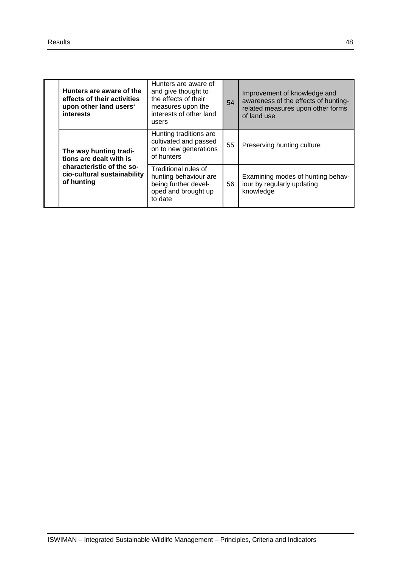| Hunters are aware of the<br>effects of their activities<br>upon other land users'<br><b>interests</b>                       | Hunters are aware of<br>and give thought to<br>the effects of their<br>measures upon the<br>interests of other land<br>users | 54 | Improvement of knowledge and<br>awareness of the effects of hunting-<br>related measures upon other forms<br>of land use |
|-----------------------------------------------------------------------------------------------------------------------------|------------------------------------------------------------------------------------------------------------------------------|----|--------------------------------------------------------------------------------------------------------------------------|
| The way hunting tradi-<br>tions are dealt with is<br>characteristic of the so-<br>cio-cultural sustainability<br>of hunting | Hunting traditions are<br>cultivated and passed<br>on to new generations<br>of hunters                                       | 55 | Preserving hunting culture                                                                                               |
|                                                                                                                             | Traditional rules of<br>hunting behaviour are<br>being further devel-<br>oped and brought up<br>to date                      | 56 | Examining modes of hunting behav-<br>iour by regularly updating<br>knowledge                                             |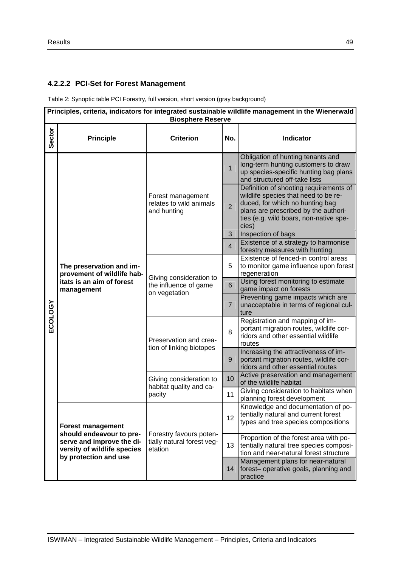# **4.2.2.2 PCI-Set for Forest Management**

Table 2: Synoptic table PCI Forestry, full version, short version (gray background)

|         | Principles, criteria, indicators for integrated sustainable wildlife management in the Wienerwald<br><b>Biosphere Reserve</b>             |                                                                   |                         |                                                                                                                                                                                              |  |  |
|---------|-------------------------------------------------------------------------------------------------------------------------------------------|-------------------------------------------------------------------|-------------------------|----------------------------------------------------------------------------------------------------------------------------------------------------------------------------------------------|--|--|
| Sector  | <b>Principle</b>                                                                                                                          | <b>Criterion</b>                                                  | No.                     | Indicator                                                                                                                                                                                    |  |  |
|         |                                                                                                                                           |                                                                   | $\mathbf{1}$            | Obligation of hunting tenants and<br>long-term hunting customers to draw<br>up species-specific hunting bag plans<br>and structured off-take lists<br>Definition of shooting requirements of |  |  |
|         |                                                                                                                                           | Forest management<br>relates to wild animals<br>and hunting       | $\overline{2}$          | wildlife species that need to be re-<br>duced, for which no hunting bag<br>plans are prescribed by the authori-<br>ties (e.g. wild boars, non-native spe-<br>cies)                           |  |  |
|         |                                                                                                                                           |                                                                   | 3                       | Inspection of bags                                                                                                                                                                           |  |  |
|         |                                                                                                                                           |                                                                   | $\overline{\mathbf{4}}$ | Existence of a strategy to harmonise<br>forestry measures with hunting                                                                                                                       |  |  |
|         | The preservation and im-<br>provement of wildlife hab-<br>itats is an aim of forest<br>management                                         | Giving consideration to<br>the influence of game<br>on vegetation | 5                       | Existence of fenced-in control areas<br>to monitor game influence upon forest<br>regeneration                                                                                                |  |  |
|         |                                                                                                                                           |                                                                   | 6                       | Using forest monitoring to estimate<br>game impact on forests                                                                                                                                |  |  |
|         |                                                                                                                                           |                                                                   | $\overline{7}$          | Preventing game impacts which are<br>unacceptable in terms of regional cul-<br>ture                                                                                                          |  |  |
| ECOLOGY |                                                                                                                                           | Preservation and crea-<br>tion of linking biotopes                | 8                       | Registration and mapping of im-<br>portant migration routes, wildlife cor-<br>ridors and other essential wildlife<br>routes                                                                  |  |  |
|         |                                                                                                                                           |                                                                   | 9                       | Increasing the attractiveness of im-<br>portant migration routes, wildlife cor-<br>ridors and other essential routes                                                                         |  |  |
|         |                                                                                                                                           | Giving consideration to                                           | 10                      | Active preservation and management<br>of the wildlife habitat                                                                                                                                |  |  |
|         |                                                                                                                                           | habitat quality and ca-<br>pacity                                 | 11                      | Giving consideration to habitats when<br>planning forest development                                                                                                                         |  |  |
|         | <b>Forest management</b><br>should endeavour to pre-<br>serve and improve the di-<br>versity of wildlife species<br>by protection and use |                                                                   | 12                      | Knowledge and documentation of po-<br>tentially natural and current forest<br>types and tree species compositions                                                                            |  |  |
|         |                                                                                                                                           | Forestry favours poten-<br>tially natural forest veg-<br>etation  | 13                      | Proportion of the forest area with po-<br>tentially natural tree species composi-<br>tion and near-natural forest structure                                                                  |  |  |
|         |                                                                                                                                           |                                                                   | 14                      | Management plans for near-natural<br>forest- operative goals, planning and<br>practice                                                                                                       |  |  |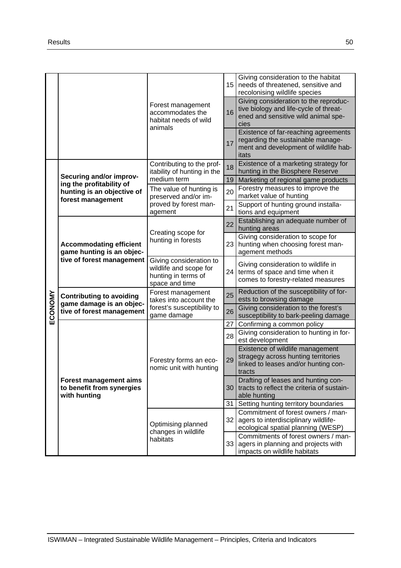|         |                                                                                          |                                                                                            |          | Giving consideration to the habitat<br>15<br>needs of threatened, sensitive and<br>recolonising wildlife species               |
|---------|------------------------------------------------------------------------------------------|--------------------------------------------------------------------------------------------|----------|--------------------------------------------------------------------------------------------------------------------------------|
|         |                                                                                          | Forest management<br>accommodates the<br>habitat needs of wild                             | 16       | Giving consideration to the reproduc-<br>tive biology and life-cycle of threat-<br>ened and sensitive wild animal spe-<br>cies |
|         |                                                                                          | animals                                                                                    | 17       | Existence of far-reaching agreements<br>regarding the sustainable manage-<br>ment and development of wildlife hab-<br>itats    |
|         | Securing and/or improv-                                                                  | Contributing to the prof-<br>itability of hunting in the                                   | 18       | Existence of a marketing strategy for<br>hunting in the Biosphere Reserve                                                      |
|         | ing the profitability of<br>hunting is an objective of                                   | medium term<br>The value of hunting is<br>preserved and/or im-                             | 19<br>20 | Marketing of regional game products<br>Forestry measures to improve the<br>market value of hunting                             |
|         | forest management                                                                        | proved by forest man-<br>agement                                                           | 21       | Support of hunting ground installa-<br>tions and equipment                                                                     |
|         | <b>Accommodating efficient</b><br>game hunting is an objec-<br>tive of forest management | Creating scope for                                                                         | 22       | Establishing an adequate number of<br>hunting areas                                                                            |
|         |                                                                                          | hunting in forests                                                                         |          | Giving consideration to scope for<br>hunting when choosing forest man-<br>agement methods                                      |
|         |                                                                                          | Giving consideration to<br>wildlife and scope for<br>hunting in terms of<br>space and time | 24       | Giving consideration to wildlife in<br>terms of space and time when it<br>comes to forestry-related measures                   |
|         | <b>Contributing to avoiding</b><br>game damage is an objec-<br>tive of forest management | Forest management<br>takes into account the<br>forest's susceptibility to<br>game damage   | 25       | Reduction of the susceptibility of for-<br>ests to browsing damage                                                             |
| ECONOMY |                                                                                          |                                                                                            | 26       | Giving consideration to the forest's<br>susceptibility to bark-peeling damage                                                  |
|         |                                                                                          |                                                                                            | 27       | Confirming a common policy<br>Giving consideration to hunting in for-                                                          |
|         |                                                                                          |                                                                                            | 28       | est development                                                                                                                |
|         |                                                                                          | Forestry forms an eco-<br>nomic unit with hunting                                          | 29       | Existence of wildlife management<br>stragegy across hunting territories<br>linked to leases and/or hunting con-<br>tracts      |
|         | Forest management aims<br>to benefit from synergies<br>with hunting                      |                                                                                            | 30       | Drafting of leases and hunting con-<br>tracts to reflect the criteria of sustain-<br>able hunting                              |
|         |                                                                                          |                                                                                            | 31       | Setting hunting territory boundaries                                                                                           |
|         |                                                                                          | Optimising planned<br>changes in wildlife                                                  | 32       | Commitment of forest owners / man-<br>agers to interdisciplinary wildlife-<br>ecological spatial planning (WESP)               |
|         |                                                                                          | habitats                                                                                   |          | Commitments of forest owners / man-<br>33 <sup>1</sup><br>agers in planning and projects with<br>impacts on wildlife habitats  |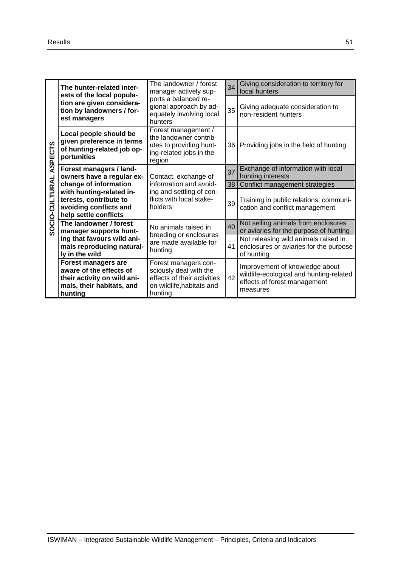|                        | The hunter-related inter-<br>ests of the local popula-                                                                                                                                                                                                | The landowner / forest<br>manager actively sup-<br>ports a balanced re-<br>gional approach by ad-<br>equately involving local<br>hunters |    | Giving consideration to territory for<br>local hunters                                                                |  |
|------------------------|-------------------------------------------------------------------------------------------------------------------------------------------------------------------------------------------------------------------------------------------------------|------------------------------------------------------------------------------------------------------------------------------------------|----|-----------------------------------------------------------------------------------------------------------------------|--|
|                        | tion are given considera-<br>tion by landowners / for-<br>est managers                                                                                                                                                                                |                                                                                                                                          |    | Giving adequate consideration to<br>non-resident hunters                                                              |  |
|                        | Local people should be<br>given preference in terms<br>of hunting-related job op-<br>portunities                                                                                                                                                      | Forest management /<br>the landowner contrib-<br>utes to providing hunt-<br>ing-related jobs in the<br>region                            | 36 | Providing jobs in the field of hunting                                                                                |  |
|                        | Forest managers / land-<br>owners have a regular ex-                                                                                                                                                                                                  | Contact, exchange of                                                                                                                     | 37 | Exchange of information with local<br>hunting interests                                                               |  |
|                        | change of information                                                                                                                                                                                                                                 | information and avoid-                                                                                                                   | 38 | Conflict management strategies                                                                                        |  |
| SOCIO-CULTURAL ASPECTS | with hunting-related in-<br>terests, contribute to<br>avoiding conflicts and<br>help settle conflicts                                                                                                                                                 | ing and settling of con-<br>flicts with local stake-<br>holders                                                                          | 39 | Training in public relations, communi-<br>cation and conflict management                                              |  |
|                        | The landowner / forest<br>manager supports hunt-                                                                                                                                                                                                      | No animals raised in<br>breeding or enclosures                                                                                           | 40 | Not selling animals from enclosures<br>or aviaries for the purpose of hunting                                         |  |
|                        | ing that favours wild ani-<br>mals reproducing natural-<br>ly in the wild                                                                                                                                                                             | are made available for<br>hunting                                                                                                        | 41 | Not releasing wild animals raised in<br>enclosures or aviaries for the purpose<br>of hunting                          |  |
|                        | <b>Forest managers are</b><br>Forest managers con-<br>aware of the effects of<br>sciously deal with the<br>effects of their activities<br>their activity on wild ani-<br>mals, their habitats, and<br>on wildlife, habitats and<br>hunting<br>hunting |                                                                                                                                          | 42 | Improvement of knowledge about<br>wildlife-ecological and hunting-related<br>effects of forest management<br>measures |  |
|                        |                                                                                                                                                                                                                                                       |                                                                                                                                          |    |                                                                                                                       |  |
|                        | ISWIMAN - Integrated Sustainable Wildlife Management - Principles, Criteria and Indicators                                                                                                                                                            |                                                                                                                                          |    |                                                                                                                       |  |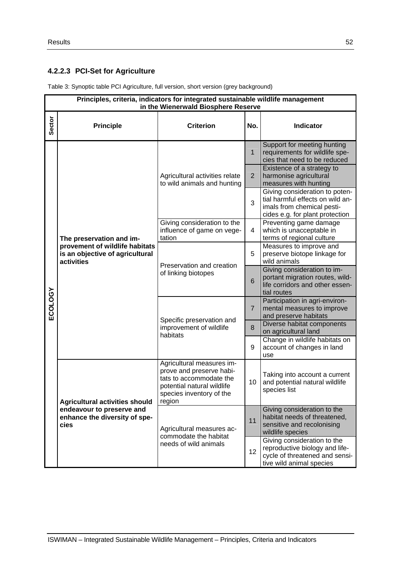# **4.2.2.3 PCI-Set for Agriculture**

| Table 3: Synoptic table PCI Agriculture, full version, short version (grey background) |  |  |
|----------------------------------------------------------------------------------------|--|--|
|                                                                                        |  |  |
|                                                                                        |  |  |

|               | Principles, criteria, indicators for integrated sustainable wildlife management<br>in the Wienerwald Biosphere Reserve |                                                                                                                                                      |                |                                                                                                                                     |  |  |
|---------------|------------------------------------------------------------------------------------------------------------------------|------------------------------------------------------------------------------------------------------------------------------------------------------|----------------|-------------------------------------------------------------------------------------------------------------------------------------|--|--|
| <b>Sector</b> | <b>Principle</b>                                                                                                       | <b>Criterion</b>                                                                                                                                     | No.            | <b>Indicator</b>                                                                                                                    |  |  |
|               |                                                                                                                        |                                                                                                                                                      | $\mathbf{1}$   | Support for meeting hunting<br>requirements for wildlife spe-<br>cies that need to be reduced                                       |  |  |
|               |                                                                                                                        | Agricultural activities relate<br>to wild animals and hunting                                                                                        | $\overline{2}$ | Existence of a strategy to<br>harmonise agricultural<br>measures with hunting                                                       |  |  |
|               |                                                                                                                        |                                                                                                                                                      | 3              | Giving consideration to poten-<br>tial harmful effects on wild an-<br>imals from chemical pesti-<br>cides e.g. for plant protection |  |  |
|               | The preservation and im-                                                                                               | Giving consideration to the<br>influence of game on vege-<br>tation                                                                                  | $\overline{4}$ | Preventing game damage<br>which is unacceptable in<br>terms of regional culture                                                     |  |  |
|               | provement of wildlife habitats<br>is an objective of agricultural<br>activities                                        | Preservation and creation<br>of linking biotopes                                                                                                     |                | Measures to improve and<br>preserve biotope linkage for<br>wild animals                                                             |  |  |
|               |                                                                                                                        |                                                                                                                                                      |                | Giving consideration to im-<br>portant migration routes, wild-<br>life corridors and other essen-<br>tial routes                    |  |  |
| ECOLOGY       |                                                                                                                        | Specific preservation and<br>improvement of wildlife<br>habitats                                                                                     |                | Participation in agri-environ-<br>mental measures to improve<br>and preserve habitats                                               |  |  |
|               |                                                                                                                        |                                                                                                                                                      |                | Diverse habitat components<br>on agricultural land                                                                                  |  |  |
|               |                                                                                                                        |                                                                                                                                                      |                | Change in wildlife habitats on<br>account of changes in land<br>use                                                                 |  |  |
|               | <b>Agricultural activities should</b>                                                                                  | Agricultural measures im-<br>prove and preserve habi-<br>tats to accommodate the<br>potential natural wildlife<br>species inventory of the<br>region | 10             | Taking into account a current<br>and potential natural wildlife<br>species list                                                     |  |  |
|               | endeavour to preserve and<br>enhance the diversity of spe-<br>cies                                                     | Agricultural measures ac-                                                                                                                            | 11             | Giving consideration to the<br>habitat needs of threatened,<br>sensitive and recolonising<br>wildlife species                       |  |  |
|               |                                                                                                                        | commodate the habitat<br>needs of wild animals                                                                                                       |                | Giving consideration to the<br>reproductive biology and life-<br>cycle of threatened and sensi-<br>tive wild animal species         |  |  |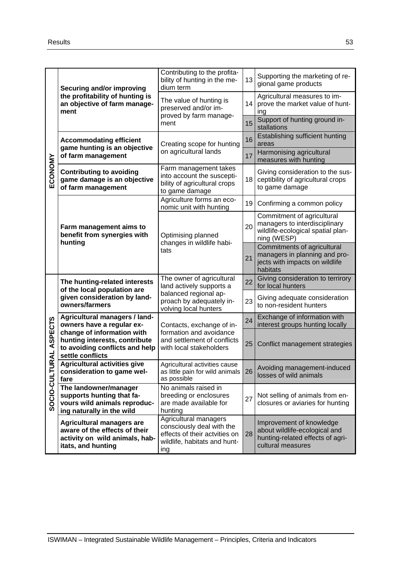|                     | <b>Securing and/or improving</b>                                                                                          | Contributing to the profita-<br>bility of hunting in the me-<br>dium term                                                           | 13 | Supporting the marketing of re-<br>gional game products                                                            |  |
|---------------------|---------------------------------------------------------------------------------------------------------------------------|-------------------------------------------------------------------------------------------------------------------------------------|----|--------------------------------------------------------------------------------------------------------------------|--|
|                     | the profitability of hunting is<br>an objective of farm manage-<br>ment                                                   | The value of hunting is<br>preserved and/or im-<br>proved by farm manage-                                                           | 14 | Agricultural measures to im-<br>prove the market value of hunt-<br>ing                                             |  |
|                     |                                                                                                                           | ment                                                                                                                                |    | Support of hunting ground in-<br>stallations                                                                       |  |
|                     | <b>Accommodating efficient</b>                                                                                            | Creating scope for hunting                                                                                                          | 16 | Establishing sufficient hunting<br>areas                                                                           |  |
| ECONOMY             | game hunting is an objective<br>of farm management                                                                        | on agricultural lands                                                                                                               | 17 | Harmonising agricultural<br>measures with hunting                                                                  |  |
|                     | <b>Contributing to avoiding</b><br>game damage is an objective<br>of farm management                                      | Farm management takes<br>into account the suscepti-<br>bility of agricultural crops<br>to game damage                               | 18 | Giving consideration to the sus-<br>ceptibility of agricultural crops<br>to game damage                            |  |
|                     |                                                                                                                           | Agriculture forms an eco-<br>nomic unit with hunting                                                                                | 19 | Confirming a common policy                                                                                         |  |
|                     | Farm management aims to<br>benefit from synergies with                                                                    | Optimising planned                                                                                                                  | 20 | Commitment of agricultural<br>managers to interdisciplinary<br>wildlife-ecological spatial plan-<br>ning (WESP)    |  |
|                     | hunting                                                                                                                   | changes in wildlife habi-<br>tats                                                                                                   |    | Commitments of agricultural<br>managers in planning and pro-<br>jects with impacts on wildlife<br>habitats         |  |
|                     | The hunting-related interests<br>of the local population are<br>given consideration by land-<br>owners/farmers            | The owner of agricultural<br>land actively supports a<br>balanced regional ap-<br>proach by adequately in-<br>volving local hunters |    | Giving consideration to terrirory<br>for local hunters                                                             |  |
|                     |                                                                                                                           |                                                                                                                                     |    | Giving adequate consideration<br>to non-resident hunters                                                           |  |
|                     | Agricultural managers / land-<br>owners have a regular ex-                                                                | Contacts, exchange of in-<br>formation and avoidance<br>and settlement of conflicts<br>with local stakeholders                      |    | Exchange of information with<br>interest groups hunting locally                                                    |  |
| <b>URAL ASPECTS</b> | change of information with<br>hunting interests, contribute<br>to avoiding conflicts and help<br>settle conflicts         |                                                                                                                                     |    | Conflict management strategies                                                                                     |  |
|                     | <b>Agricultural activities give</b><br>consideration to game wel-<br>fare                                                 | Agricultural activities cause<br>as little pain for wild animals<br>as possible                                                     | 26 | Avoiding management-induced<br>losses of wild animals                                                              |  |
| SOCIO-CULT          | The landowner/manager<br>supports hunting that fa-<br>vours wild animals reproduc-<br>ing naturally in the wild           | No animals raised in<br>breeding or enclosures<br>27<br>are made available for<br>hunting                                           |    | Not selling of animals from en-<br>closures or aviaries for hunting                                                |  |
|                     | <b>Agricultural managers are</b><br>aware of the effects of their<br>activity on wild animals, hab-<br>itats, and hunting | Agricultural managers<br>consciously deal with the<br>effects of their actvities on<br>wildlife, habitats and hunt-<br>ing          | 28 | Improvement of knowledge<br>about wildlife-ecological and<br>hunting-related effects of agri-<br>cultural measures |  |
|                     | ISWIMAN - Integrated Sustainable Wildlife Management - Principles, Criteria and Indicators                                |                                                                                                                                     |    |                                                                                                                    |  |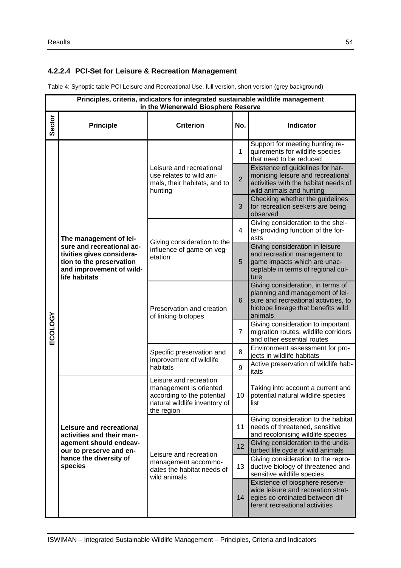# **4.2.2.4 PCI-Set for Leisure & Recreation Management**

Table 4: Synoptic table PCI Leisure and Recreational Use, full version, short version (grey background)

|         | Principles, criteria, indicators for integrated sustainable wildlife management<br>in the Wienerwald Biosphere Reserve          |                                                                                                                               |                |                                                                                                                                                               |  |  |  |
|---------|---------------------------------------------------------------------------------------------------------------------------------|-------------------------------------------------------------------------------------------------------------------------------|----------------|---------------------------------------------------------------------------------------------------------------------------------------------------------------|--|--|--|
| Sector  | <b>Principle</b>                                                                                                                | <b>Criterion</b>                                                                                                              | No.            | <b>Indicator</b>                                                                                                                                              |  |  |  |
|         |                                                                                                                                 |                                                                                                                               | 1              | Support for meeting hunting re-<br>quirements for wildlife species<br>that need to be reduced                                                                 |  |  |  |
|         |                                                                                                                                 | Leisure and recreational<br>use relates to wild ani-<br>mals, their habitats, and to<br>hunting                               | $\overline{2}$ | Existence of guidelines for har-<br>monising leisure and recreational<br>activities with the habitat needs of<br>wild animals and hunting                     |  |  |  |
|         |                                                                                                                                 |                                                                                                                               | 3              | Checking whether the guidelines<br>for recreation seekers are being<br>observed                                                                               |  |  |  |
|         | The management of lei-                                                                                                          |                                                                                                                               | 4              | Giving consideration to the shel-<br>ter-providing function of the for-<br>ests                                                                               |  |  |  |
|         | sure and recreational ac-<br>tivities gives considera-<br>tion to the preservation<br>and improvement of wild-<br>life habitats | Giving consideration to the<br>influence of game on veg-<br>etation                                                           |                | Giving consideration in leisure<br>and recreation management to<br>game impacts which are unac-<br>ceptable in terms of regional cul-<br>ture                 |  |  |  |
|         |                                                                                                                                 | Preservation and creation<br>of linking biotopes                                                                              |                | Giving consideration, in terms of<br>planning and management of lei-<br>sure and recreational activities, to<br>biotope linkage that benefits wild<br>animals |  |  |  |
| ECOLOGY |                                                                                                                                 |                                                                                                                               |                | Giving consideration to important<br>migration routes, wildlife corridors<br>and other essential routes                                                       |  |  |  |
|         |                                                                                                                                 | Specific preservation and<br>improvement of wildlife<br>habitats                                                              |                | Environment assessment for pro-<br>jects in wildlife habitats                                                                                                 |  |  |  |
|         |                                                                                                                                 |                                                                                                                               |                | Active preservation of wildlife hab-<br>itats                                                                                                                 |  |  |  |
|         |                                                                                                                                 | Leisure and recreation<br>management is oriented<br>according to the potential<br>natural wildlife inventory of<br>the region |                | Taking into account a current and<br>10   potential natural wildlife species<br>list                                                                          |  |  |  |
|         | Leisure and recreational<br>activities and their man-                                                                           |                                                                                                                               | 11             | Giving consideration to the habitat<br>needs of threatened, sensitive<br>and recolonising wildlife species                                                    |  |  |  |
|         | agement should endeav-<br>our to preserve and en-                                                                               | Leisure and recreation                                                                                                        | 12             | Giving consideration to the undis-<br>turbed life cycle of wild animals                                                                                       |  |  |  |
|         | hance the diversity of<br>species                                                                                               | management accommo-<br>dates the habitat needs of<br>wild animals                                                             | 13             | Giving consideration to the repro-<br>ductive biology of threatened and<br>sensitive wildlife species                                                         |  |  |  |
|         |                                                                                                                                 |                                                                                                                               |                | Existence of biosphere reserve-<br>wide leisure and recreation strat-<br>egies co-ordinated between dif-<br>ferent recreational activities                    |  |  |  |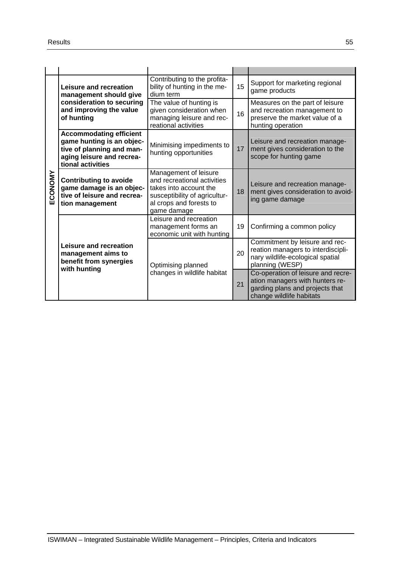| ECONOMY | Leisure and recreation<br>management should give<br>consideration to securing<br>and improving the value<br>of hunting                     | Contributing to the profita-<br>bility of hunting in the me-<br>dium term                                                                                 |    | Support for marketing regional<br>game products                                                                                      |  |  |  |  |
|---------|--------------------------------------------------------------------------------------------------------------------------------------------|-----------------------------------------------------------------------------------------------------------------------------------------------------------|----|--------------------------------------------------------------------------------------------------------------------------------------|--|--|--|--|
|         |                                                                                                                                            | The value of hunting is<br>given consideration when<br>managing leisure and rec-<br>reational activities                                                  | 16 | Measures on the part of leisure<br>and recreation management to<br>preserve the market value of a<br>hunting operation               |  |  |  |  |
|         | <b>Accommodating efficient</b><br>game hunting is an objec-<br>tive of planning and man-<br>aging leisure and recrea-<br>tional activities | Minimising impediments to<br>hunting opportunities                                                                                                        | 17 | Leisure and recreation manage-<br>ment gives consideration to the<br>scope for hunting game                                          |  |  |  |  |
|         | <b>Contributing to avoide</b><br>game damage is an objec-<br>tive of leisure and recrea-<br>tion management                                | Management of leisure<br>and recreational activities<br>takes into account the<br>susceptibility of agricultur-<br>al crops and forests to<br>game damage | 18 | Leisure and recreation manage-<br>ment gives consideration to avoid-<br>ing game damage                                              |  |  |  |  |
|         |                                                                                                                                            | Leisure and recreation<br>management forms an<br>economic unit with hunting                                                                               | 19 | Confirming a common policy                                                                                                           |  |  |  |  |
|         | Leisure and recreation<br>management aims to<br>benefit from synergies<br>with hunting                                                     | Optimising planned<br>changes in wildlife habitat                                                                                                         | 20 | Commitment by leisure and rec-<br>reation managers to interdiscipli-<br>nary wildlife-ecological spatial<br>planning (WESP)          |  |  |  |  |
|         |                                                                                                                                            |                                                                                                                                                           | 21 | Co-operation of leisure and recre-<br>ation managers with hunters re-<br>garding plans and projects that<br>change wildlife habitats |  |  |  |  |
|         |                                                                                                                                            |                                                                                                                                                           |    |                                                                                                                                      |  |  |  |  |
|         |                                                                                                                                            |                                                                                                                                                           |    |                                                                                                                                      |  |  |  |  |
|         |                                                                                                                                            |                                                                                                                                                           |    |                                                                                                                                      |  |  |  |  |
|         |                                                                                                                                            |                                                                                                                                                           |    |                                                                                                                                      |  |  |  |  |
|         | ISWIMAN - Integrated Sustainable Wildlife Management - Principles, Criteria and Indicators                                                 |                                                                                                                                                           |    |                                                                                                                                      |  |  |  |  |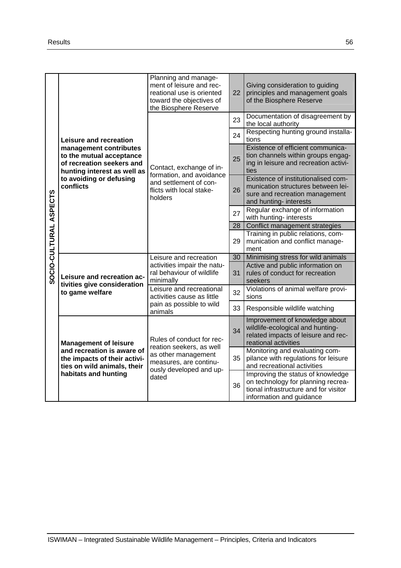|                                                                                            | Leisure and recreation<br>management contributes<br>to the mutual acceptance<br>of recreation seekers and<br>hunting interest as well as<br>to avoiding or defusing<br>conflicts | Planning and manage-<br>ment of leisure and rec-<br>reational use is oriented<br>toward the objectives of<br>the Biosphere Reserve         | 22 | Giving consideration to guiding<br>principles and management goals<br>of the Biosphere Reserve                                               |  |  |  |
|--------------------------------------------------------------------------------------------|----------------------------------------------------------------------------------------------------------------------------------------------------------------------------------|--------------------------------------------------------------------------------------------------------------------------------------------|----|----------------------------------------------------------------------------------------------------------------------------------------------|--|--|--|
|                                                                                            |                                                                                                                                                                                  |                                                                                                                                            |    | Documentation of disagreement by<br>the local authority                                                                                      |  |  |  |
|                                                                                            |                                                                                                                                                                                  |                                                                                                                                            |    | Respecting hunting ground installa-<br>tions                                                                                                 |  |  |  |
|                                                                                            |                                                                                                                                                                                  | Contact, exchange of in-<br>formation, and avoidance<br>and settlement of con-<br>flicts with local stake-<br>holders                      | 25 | Existence of efficient communica-<br>tion channels within groups engag-<br>ing in leisure and recreation activi-<br>ties                     |  |  |  |
|                                                                                            |                                                                                                                                                                                  |                                                                                                                                            | 26 | Existence of institutionalised com-<br>munication structures between lei-<br>sure and recreation management<br>and hunting- interests        |  |  |  |
|                                                                                            |                                                                                                                                                                                  |                                                                                                                                            | 27 | Regular exchange of information<br>with hunting- interests                                                                                   |  |  |  |
|                                                                                            |                                                                                                                                                                                  |                                                                                                                                            | 28 | Conflict management strategies                                                                                                               |  |  |  |
| SOCIO-CULTURAL ASPECTS                                                                     |                                                                                                                                                                                  |                                                                                                                                            |    | Training in public relations, com-<br>munication and conflict manage-<br>ment                                                                |  |  |  |
|                                                                                            | Leisure and recreation ac-<br>tivities give consideration<br>to game welfare                                                                                                     | Leisure and recreation                                                                                                                     | 30 | Minimising stress for wild animals                                                                                                           |  |  |  |
|                                                                                            |                                                                                                                                                                                  | activities impair the natu-<br>ral behaviour of wildlife<br>minimally                                                                      |    | Active and public information on<br>rules of conduct for recreation<br>seekers                                                               |  |  |  |
|                                                                                            |                                                                                                                                                                                  | Leisure and recreational<br>activities cause as little                                                                                     | 32 | Violations of animal welfare provi-<br>sions                                                                                                 |  |  |  |
|                                                                                            |                                                                                                                                                                                  | pain as possible to wild<br>animals                                                                                                        |    | Responsible wildlife watching                                                                                                                |  |  |  |
|                                                                                            | <b>Management of leisure</b><br>and recreation is aware of<br>the impacts of their activi-<br>ties on wild animals, their<br>habitats and hunting                                | Rules of conduct for rec-<br>reation seekers, as well<br>as other management<br>measures, are continu-<br>ously developed and up-<br>dated | 34 | Improvement of knowledge about<br>wildlife-ecological and hunting-<br>related impacts of leisure and rec-<br>reational activities            |  |  |  |
|                                                                                            |                                                                                                                                                                                  |                                                                                                                                            | 35 | Monitoring and evaluating com-<br>pilance with regulations for leisure<br>and recreational activities                                        |  |  |  |
|                                                                                            |                                                                                                                                                                                  |                                                                                                                                            | 36 | Improving the status of knowledge<br>on technology for planning recrea-<br>tional infrastructure and for visitor<br>information and guidance |  |  |  |
|                                                                                            |                                                                                                                                                                                  |                                                                                                                                            |    |                                                                                                                                              |  |  |  |
| ISWIMAN - Integrated Sustainable Wildlife Management - Principles, Criteria and Indicators |                                                                                                                                                                                  |                                                                                                                                            |    |                                                                                                                                              |  |  |  |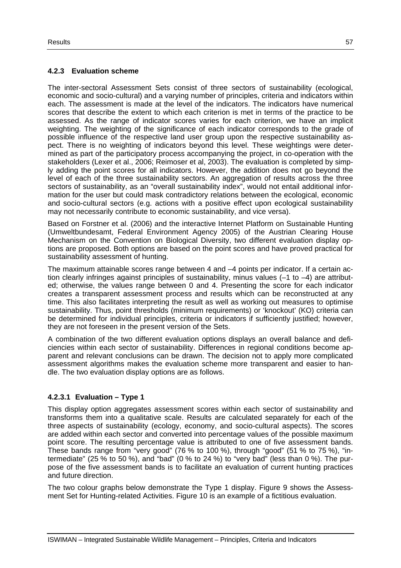### **4.2.3 Evaluation scheme**

The inter-sectoral Assessment Sets consist of three sectors of sustainability (ecological, economic and socio-cultural) and a varying number of principles, criteria and indicators within each. The assessment is made at the level of the indicators. The indicators have numerical scores that describe the extent to which each criterion is met in terms of the practice to be assessed. As the range of indicator scores varies for each criterion, we have an implicit weighting. The weighting of the significance of each indicator corresponds to the grade of possible influence of the respective land user group upon the respective sustainability aspect. There is no weighting of indicators beyond this level. These weightings were determined as part of the participatory process accompanying the project, in co-operation with the stakeholders (Lexer et al., 2006; Reimoser et al, 2003). The evaluation is completed by simply adding the point scores for all indicators. However, the addition does not go beyond the level of each of the three sustainability sectors. An aggregation of results across the three sectors of sustainability, as an "overall sustainability index", would not entail additional information for the user but could mask contradictory relations between the ecological, economic and socio-cultural sectors (e.g. actions with a positive effect upon ecological sustainability may not necessarily contribute to economic sustainability, and vice versa).

Based on Forstner et al. (2006) and the interactive Internet Platform on Sustainable Hunting (Umweltbundesamt, Federal Environment Agency 2005) of the Austrian Clearing House Mechanism on the Convention on Biological Diversity, two different evaluation display options are proposed. Both options are based on the point scores and have proved practical for sustainability assessment of hunting.

The maximum attainable scores range between 4 and –4 points per indicator. If a certain action clearly infringes against principles of sustainability, minus values (–1 to –4) are attributed; otherwise, the values range between 0 and 4. Presenting the score for each indicator creates a transparent assessment process and results which can be reconstructed at any time. This also facilitates interpreting the result as well as working out measures to optimise sustainability. Thus, point thresholds (minimum requirements) or 'knockout' (KO) criteria can be determined for individual principles, criteria or indicators if sufficiently justified; however, they are not foreseen in the present version of the Sets.

A combination of the two different evaluation options displays an overall balance and deficiencies within each sector of sustainability. Differences in regional conditions become apparent and relevant conclusions can be drawn. The decision not to apply more complicated assessment algorithms makes the evaluation scheme more transparent and easier to handle. The two evaluation display options are as follows.

### **4.2.3.1 Evaluation – Type 1**

This display option aggregates assessment scores within each sector of sustainability and transforms them into a qualitative scale. Results are calculated separately for each of the three aspects of sustainability (ecology, economy, and socio-cultural aspects). The scores are added within each sector and converted into percentage values of the possible maximum point score. The resulting percentage value is attributed to one of five assessment bands. These bands range from "very good" (76 % to 100 %), through "good" (51 % to 75 %), "intermediate" (25  $\%$  to 50 %), and "bad" (0 % to 24 %) to "very bad" (less than 0 %). The purpose of the five assessment bands is to facilitate an evaluation of current hunting practices and future direction.

The two colour graphs below demonstrate the Type 1 display. Figure 9 shows the Assessment Set for Hunting-related Activities. Figure 10 is an example of a fictitious evaluation.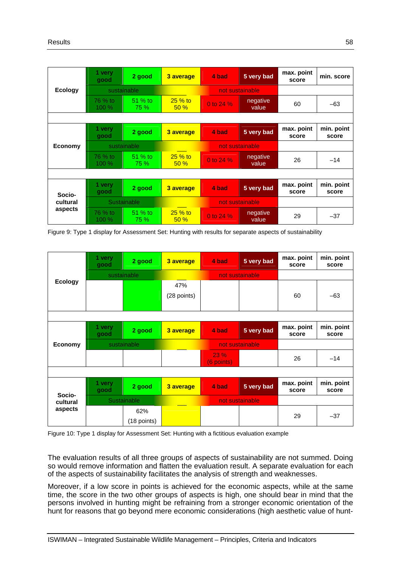|                | 1 very<br>good          | 2 good          | 3 average       | 4 bad           | 5 very bad        | max. point<br>score | min. score          |  |  |
|----------------|-------------------------|-----------------|-----------------|-----------------|-------------------|---------------------|---------------------|--|--|
| <b>Ecology</b> | sustainable             |                 |                 | not sustainable |                   |                     |                     |  |  |
|                | 76 % to<br>100 %        | 51 % to<br>75 % | $25%$ to<br>50% | 0 to 24 %       | negative<br>value | 60                  | $-63$               |  |  |
|                |                         |                 |                 |                 |                   |                     |                     |  |  |
|                | 1 very<br>good          | 2 good          | 3 average       | 4 bad           | 5 very bad        | max. point<br>score | min. point<br>score |  |  |
| <b>Economy</b> |                         | sustainable     |                 | not sustainable |                   |                     |                     |  |  |
|                | 76 % to<br><b>100 %</b> | 51 % to<br>75 % | $25%$ to<br>50% | 0 to 24 %       | negative<br>value | 26                  | $-14$               |  |  |
|                |                         |                 |                 |                 |                   |                     |                     |  |  |
| Socio-         | 1 very<br>good          | 2 good          | 3 average       | 4 bad           | 5 very bad        | max. point<br>score | min. point<br>score |  |  |
| cultural       | Sustainable             |                 |                 | not sustainable |                   |                     |                     |  |  |
| aspects        | 76 % to<br>$100\%$      | 51 % to<br>75 % | $25%$ to<br>50% | 0 to 24 %       | negative<br>value | 29                  | $-37$               |  |  |

Figure 9: Type 1 display for Assessment Set: Hunting with results for separate aspects of sustainability

|                | 1 very<br>good | 2 good             | 3 average          | 4 bad              | 5 very bad | max. point<br>score | min. point<br>score |  |
|----------------|----------------|--------------------|--------------------|--------------------|------------|---------------------|---------------------|--|
|                | sustainable    |                    |                    | not sustainable    |            |                     |                     |  |
| <b>Ecology</b> |                |                    | 47%<br>(28 points) |                    |            | 60                  | $-63$               |  |
|                |                |                    |                    |                    |            |                     |                     |  |
|                | 1 very<br>good | 2 good             | 3 average          | 4 bad              | 5 very bad | max. point<br>score | min. point<br>score |  |
| <b>Economy</b> | sustainable    |                    |                    | not sustainable    |            |                     |                     |  |
|                |                |                    |                    | 23 %<br>(6 points) |            | 26                  | $-14$               |  |
|                |                |                    |                    |                    |            |                     |                     |  |
| Socio-         | 1 very<br>good | 2 good             | 3 average          | 4 bad              | 5 very bad | max. point<br>score | min. point<br>score |  |
| cultural       | Sustainable    |                    |                    | not sustainable    |            |                     |                     |  |
| aspects        |                | 62%<br>(18 points) |                    |                    |            | 29                  | $-37$               |  |

Figure 10: Type 1 display for Assessment Set: Hunting with a fictitious evaluation example

The evaluation results of all three groups of aspects of sustainability are not summed. Doing so would remove information and flatten the evaluation result. A separate evaluation for each of the aspects of sustainability facilitates the analysis of strength and weaknesses.

Moreover, if a low score in points is achieved for the economic aspects, while at the same time, the score in the two other groups of aspects is high, one should bear in mind that the persons involved in hunting might be refraining from a stronger economic orientation of the hunt for reasons that go beyond mere economic considerations (high aesthetic value of hunt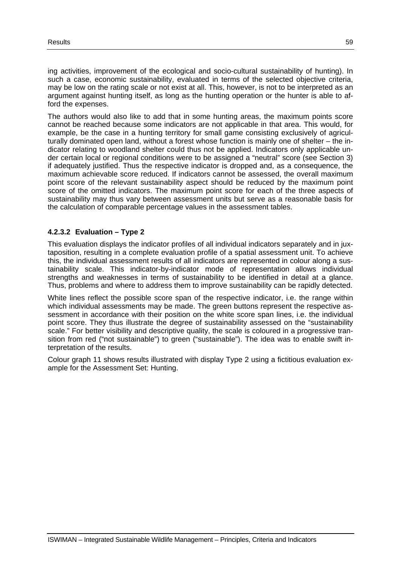ing activities, improvement of the ecological and socio-cultural sustainability of hunting). In such a case, economic sustainability, evaluated in terms of the selected objective criteria, may be low on the rating scale or not exist at all. This, however, is not to be interpreted as an argument against hunting itself, as long as the hunting operation or the hunter is able to afford the expenses.

The authors would also like to add that in some hunting areas, the maximum points score cannot be reached because some indicators are not applicable in that area. This would, for example, be the case in a hunting territory for small game consisting exclusively of agriculturally dominated open land, without a forest whose function is mainly one of shelter – the indicator relating to woodland shelter could thus not be applied. Indicators only applicable under certain local or regional conditions were to be assigned a "neutral" score (see Section 3) if adequately justified. Thus the respective indicator is dropped and, as a consequence, the maximum achievable score reduced. If indicators cannot be assessed, the overall maximum point score of the relevant sustainability aspect should be reduced by the maximum point score of the omitted indicators. The maximum point score for each of the three aspects of sustainability may thus vary between assessment units but serve as a reasonable basis for the calculation of comparable percentage values in the assessment tables.

### **4.2.3.2 Evaluation – Type 2**

This evaluation displays the indicator profiles of all individual indicators separately and in juxtaposition, resulting in a complete evaluation profile of a spatial assessment unit. To achieve this, the individual assessment results of all indicators are represented in colour along a sustainability scale. This indicator-by-indicator mode of representation allows individual strengths and weaknesses in terms of sustainability to be identified in detail at a glance. Thus, problems and where to address them to improve sustainability can be rapidly detected.

White lines reflect the possible score span of the respective indicator, i.e. the range within which individual assessments may be made. The green buttons represent the respective assessment in accordance with their position on the white score span lines, i.e. the individual point score. They thus illustrate the degree of sustainability assessed on the "sustainability scale." For better visibility and descriptive quality, the scale is coloured in a progressive transition from red ("not sustainable") to green ("sustainable"). The idea was to enable swift interpretation of the results.

Colour graph 11 shows results illustrated with display Type 2 using a fictitious evaluation example for the Assessment Set: Hunting.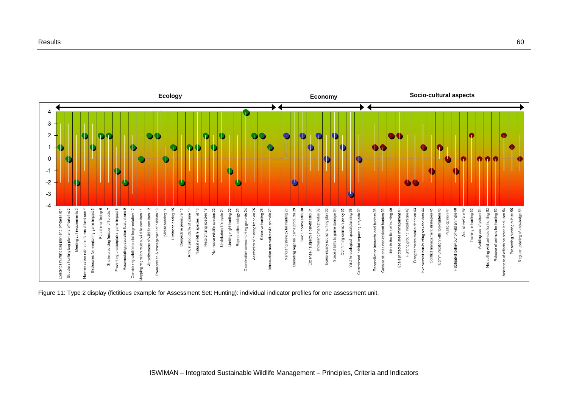

Figure 11: Type 2 display (fictitious example for Assessment Set: Hunting): individual indicator profiles for one assessment unit.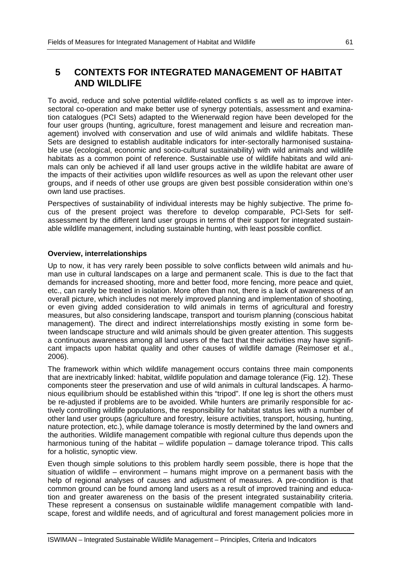# **5 CONTEXTS FOR INTEGRATED MANAGEMENT OF HABITAT AND WILDLIFE**

To avoid, reduce and solve potential wildlife-related conflicts s as well as to improve intersectoral co-operation and make better use of synergy potentials, assessment and examination catalogues (PCI Sets) adapted to the Wienerwald region have been developed for the four user groups (hunting, agriculture, forest management and leisure and recreation management) involved with conservation and use of wild animals and wildlife habitats. These Sets are designed to establish auditable indicators for inter-sectorally harmonised sustainable use (ecological, economic and socio-cultural sustainability) with wild animals and wildlife habitats as a common point of reference. Sustainable use of wildlife habitats and wild animals can only be achieved if all land user groups active in the wildlife habitat are aware of the impacts of their activities upon wildlife resources as well as upon the relevant other user groups, and if needs of other use groups are given best possible consideration within one's own land use practises.

Perspectives of sustainability of individual interests may be highly subjective. The prime focus of the present project was therefore to develop comparable, PCI-Sets for selfassessment by the different land user groups in terms of their support for integrated sustainable wildlife management, including sustainable hunting, with least possible conflict.

# **Overview, interrelationships**

Up to now, it has very rarely been possible to solve conflicts between wild animals and human use in cultural landscapes on a large and permanent scale. This is due to the fact that demands for increased shooting, more and better food, more fencing, more peace and quiet, etc., can rarely be treated in isolation. More often than not, there is a lack of awareness of an overall picture, which includes not merely improved planning and implementation of shooting, or even giving added consideration to wild animals in terms of agricultural and forestry measures, but also considering landscape, transport and tourism planning (conscious habitat management). The direct and indirect interrelationships mostly existing in some form between landscape structure and wild animals should be given greater attention. This suggests a continuous awareness among all land users of the fact that their activities may have significant impacts upon habitat quality and other causes of wildlife damage (Reimoser et al., 2006).

The framework within which wildlife management occurs contains three main components that are inextricably linked: habitat, wildlife population and damage tolerance (Fig. 12). These components steer the preservation and use of wild animals in cultural landscapes. A harmonious equilibrium should be established within this "tripod". If one leg is short the others must be re-adjusted if problems are to be avoided. While hunters are primarily responsible for actively controlling wildlife populations, the responsibility for habitat status lies with a number of other land user groups (agriculture and forestry, leisure activities, transport, housing, hunting, nature protection, etc.), while damage tolerance is mostly determined by the land owners and the authorities. Wildlife management compatible with regional culture thus depends upon the harmonious tuning of the habitat – wildlife population – damage tolerance tripod. This calls for a holistic, synoptic view.

Even though simple solutions to this problem hardly seem possible, there is hope that the situation of wildlife – environment – humans might improve on a permanent basis with the help of regional analyses of causes and adjustment of measures. A pre-condition is that common ground can be found among land users as a result of improved training and education and greater awareness on the basis of the present integrated sustainability criteria. These represent a consensus on sustainable wildlife management compatible with landscape, forest and wildlife needs, and of agricultural and forest management policies more in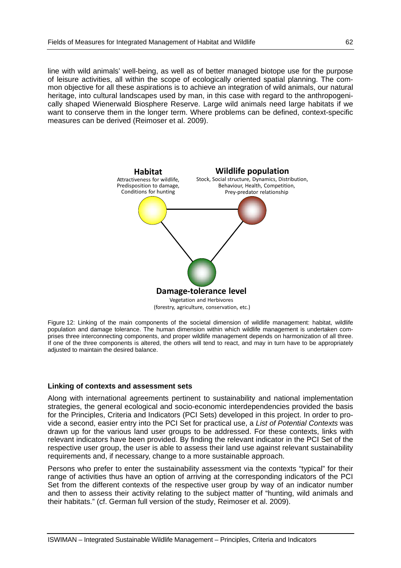line with wild animals' well-being, as well as of better managed biotope use for the purpose of leisure activities, all within the scope of ecologically oriented spatial planning. The common objective for all these aspirations is to achieve an integration of wild animals, our natural heritage, into cultural landscapes used by man, in this case with regard to the anthropogenically shaped Wienerwald Biosphere Reserve. Large wild animals need large habitats if we want to conserve them in the longer term. Where problems can be defined, context-specific measures can be derived (Reimoser et al. 2009).



Figure 12: Linking of the main components of the societal dimension of wildlife management: habitat, wildlife population and damage tolerance. The human dimension within which wildlife management is undertaken comprises three interconnecting components, and proper wildlife management depends on harmonization of all three. If one of the three components is altered, the others will tend to react, and may in turn have to be appropriately adjusted to maintain the desired balance.

#### **Linking of contexts and assessment sets**

Along with international agreements pertinent to sustainability and national implementation strategies, the general ecological and socio-economic interdependencies provided the basis for the Principles, Criteria and Indicators (PCI Sets) developed in this project. In order to provide a second, easier entry into the PCI Set for practical use, a *List of Potential Contexts* was drawn up for the various land user groups to be addressed. For these contexts, links with relevant indicators have been provided. By finding the relevant indicator in the PCI Set of the respective user group, the user is able to assess their land use against relevant sustainability requirements and, if necessary, change to a more sustainable approach.

Persons who prefer to enter the sustainability assessment via the contexts "typical" for their range of activities thus have an option of arriving at the corresponding indicators of the PCI Set from the different contexts of the respective user group by way of an indicator number and then to assess their activity relating to the subject matter of "hunting, wild animals and their habitats." (cf. German full version of the study, Reimoser et al. 2009).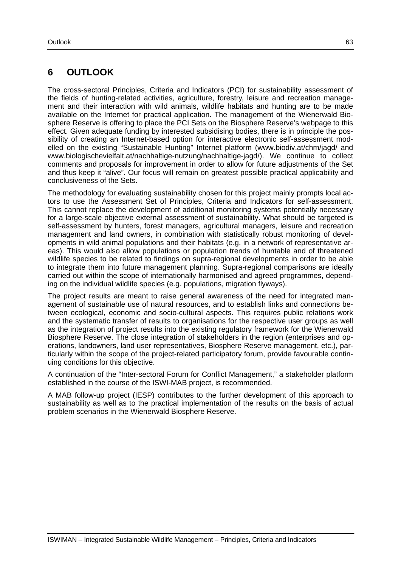# **6 OUTLOOK**

The cross-sectoral Principles, Criteria and Indicators (PCI) for sustainability assessment of the fields of hunting-related activities, agriculture, forestry, leisure and recreation management and their interaction with wild animals, wildlife habitats and hunting are to be made available on the Internet for practical application. The management of the Wienerwald Biosphere Reserve is offering to place the PCI Sets on the Biosphere Reserve's webpage to this effect. Given adequate funding by interested subsidising bodies, there is in principle the possibility of creating an Internet-based option for interactive electronic self-assessment modelled on the existing "Sustainable Hunting" Internet platform (www.biodiv.at/chm/jagd/ and www.biologischevielfalt.at/nachhaltige-nutzung/nachhaltige-jagd/). We continue to collect comments and proposals for improvement in order to allow for future adjustments of the Set and thus keep it "alive". Our focus will remain on greatest possible practical applicability and conclusiveness of the Sets.

The methodology for evaluating sustainability chosen for this project mainly prompts local actors to use the Assessment Set of Principles, Criteria and Indicators for self-assessment. This cannot replace the development of additional monitoring systems potentially necessary for a large-scale objective external assessment of sustainability. What should be targeted is self-assessment by hunters, forest managers, agricultural managers, leisure and recreation management and land owners, in combination with statistically robust monitoring of developments in wild animal populations and their habitats (e.g. in a network of representative areas). This would also allow populations or population trends of huntable and of threatened wildlife species to be related to findings on supra-regional developments in order to be able to integrate them into future management planning. Supra-regional comparisons are ideally carried out within the scope of internationally harmonised and agreed programmes, depending on the individual wildlife species (e.g. populations, migration flyways).

The project results are meant to raise general awareness of the need for integrated management of sustainable use of natural resources, and to establish links and connections between ecological, economic and socio-cultural aspects. This requires public relations work and the systematic transfer of results to organisations for the respective user groups as well as the integration of project results into the existing regulatory framework for the Wienerwald Biosphere Reserve. The close integration of stakeholders in the region (enterprises and operations, landowners, land user representatives, Biosphere Reserve management, etc.), particularly within the scope of the project-related participatory forum, provide favourable continuing conditions for this objective.

A continuation of the "Inter-sectoral Forum for Conflict Management," a stakeholder platform established in the course of the ISWI-MAB project, is recommended.

A MAB follow-up project (IESP) contributes to the further development of this approach to sustainability as well as to the practical implementation of the results on the basis of actual problem scenarios in the Wienerwald Biosphere Reserve.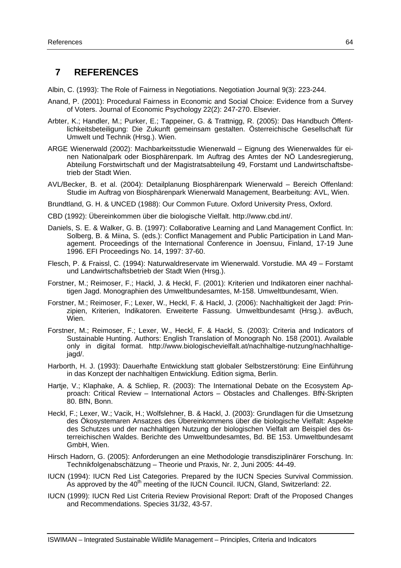# **7 REFERENCES**

Albin, C. (1993): The Role of Fairness in Negotiations. Negotiation Journal 9(3): 223-244.

- Anand, P. (2001): Procedural Fairness in Economic and Social Choice: Evidence from a Survey of Voters. Journal of Economic Psychology 22(2): 247-270. Elsevier.
- Arbter, K.; Handler, M.; Purker, E.; Tappeiner, G. & Trattnigg, R. (2005): Das Handbuch Öffentlichkeitsbeteiligung: Die Zukunft gemeinsam gestalten. Österreichische Gesellschaft für Umwelt und Technik (Hrsg.). Wien.
- ARGE Wienerwald (2002): Machbarkeitsstudie Wienerwald Eignung des Wienerwaldes für einen Nationalpark oder Biosphärenpark. Im Auftrag des Amtes der NÖ Landesregierung, Abteilung Forstwirtschaft und der Magistratsabteilung 49, Forstamt und Landwirtschaftsbetrieb der Stadt Wien.
- AVL/Becker, B. et al. (2004): Detailplanung Biosphärenpark Wienerwald Bereich Offenland: Studie im Auftrag von Biosphärenpark Wienerwald Management, Bearbeitung: AVL, Wien.
- Brundtland, G. H. & UNCED (1988): Our Common Future. Oxford University Press, Oxford.
- CBD (1992): Übereinkommen über die biologische Vielfalt. http://www.cbd.int/.
- Daniels, S. E. & Walker, G. B. (1997): Collaborative Learning and Land Management Conflict. In: Solberg, B. & Miina, S. (eds.): Conflict Management and Public Participation in Land Management. Proceedings of the International Conference in Joensuu, Finland, 17-19 June 1996. EFI Proceedings No. 14, 1997: 37-60.
- Flesch, P. & Fraissl, C. (1994): Naturwaldreservate im Wienerwald. Vorstudie. MA 49 Forstamt und Landwirtschaftsbetrieb der Stadt Wien (Hrsg.).
- Forstner, M.; Reimoser, F.; Hackl, J. & Heckl, F. (2001): Kriterien und Indikatoren einer nachhaltigen Jagd. Monographien des Umweltbundesamtes, M-158. Umweltbundesamt, Wien.
- Forstner, M.; Reimoser, F.; Lexer, W., Heckl, F. & Hackl, J. (2006): Nachhaltigkeit der Jagd: Prinzipien, Kriterien, Indikatoren. Erweiterte Fassung. Umweltbundesamt (Hrsg.). avBuch, Wien.
- Forstner, M.; Reimoser, F.; Lexer, W., Heckl, F. & Hackl, S. (2003): Criteria and Indicators of Sustainable Hunting. Authors: English Translation of Monograph No. 158 (2001). Available only in digital format. http://www.biologischevielfalt.at/nachhaltige-nutzung/nachhaltigejagd/.
- Harborth, H. J. (1993): Dauerhafte Entwicklung statt globaler Selbstzerstörung: Eine Einführung in das Konzept der nachhaltigen Entwicklung. Edition sigma, Berlin.
- Hartje, V.; Klaphake, A. & Schliep, R. (2003): The International Debate on the Ecosystem Approach: Critical Review – International Actors – Obstacles and Challenges. BfN-Skripten 80. BfN, Bonn.
- Heckl, F.; Lexer, W.; Vacik, H.; Wolfslehner, B. & Hackl, J. (2003): Grundlagen für die Umsetzung des Ökosystemaren Ansatzes des Übereinkommens über die biologische Vielfalt: Aspekte des Schutzes und der nachhaltigen Nutzung der biologischen Vielfalt am Beispiel des österreichischen Waldes. Berichte des Umweltbundesamtes, Bd. BE 153. Umweltbundesamt GmbH, Wien.
- Hirsch Hadorn, G. (2005): Anforderungen an eine Methodologie transdisziplinärer Forschung. In: Technikfolgenabschätzung – Theorie und Praxis, Nr. 2, Juni 2005: 44-49.
- IUCN (1994): IUCN Red List Categories. Prepared by the IUCN Species Survival Commission.  $\hat{A}$ s approved by the 40<sup>th</sup> meeting of the IUCN Council. IUCN, Gland, Switzerland: 22.
- IUCN (1999): IUCN Red List Criteria Review Provisional Report: Draft of the Proposed Changes and Recommendations. Species 31/32, 43-57.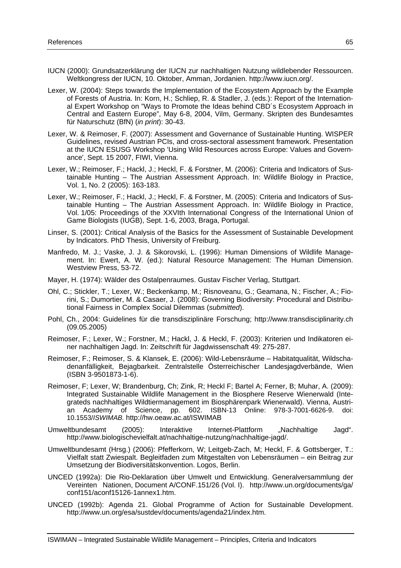- IUCN (2000): Grundsatzerklärung der IUCN zur nachhaltigen Nutzung wildlebender Ressourcen. Weltkongress der IUCN, 10. Oktober, Amman, Jordanien. http://www.iucn.org/.
- Lexer, W. (2004): Steps towards the Implementation of the Ecosystem Approach by the Example of Forests of Austria. In: Korn, H.; Schliep, R. & Stadler, J. (eds.): Report of the International Expert Workshop on "Ways to Promote the Ideas behind CBD´s Ecosystem Approach in Central and Eastern Europe", May 6-8, 2004, Vilm, Germany. Skripten des Bundesamtes für Naturschutz (BfN) (*in print*): 30-43.
- Lexer, W. & Reimoser, F. (2007): Assessment and Governance of Sustainable Hunting. WISPER Guidelines, revised Austrian PCIs, and cross-sectoral assessment framework. Presentation at the IUCN ESUSG Workshop 'Using Wild Resources across Europe: Values and Governance', Sept. 15 2007, FIWI, Vienna.
- Lexer, W.; Reimoser, F.; Hackl, J.; Heckl, F. & Forstner, M. (2006): Criteria and Indicators of Sustainable Hunting – The Austrian Assessment Approach. In: Wildlife Biology in Practice, Vol. 1, No. 2 (2005): 163-183.
- Lexer, W.; Reimoser, F.; Hackl, J.; Heckl, F. & Forstner, M. (2005): Criteria and Indicators of Sustainable Hunting – The Austrian Assessment Approach. In: Wildlife Biology in Practice, Vol. 1/05: Proceedings of the XXVIth International Congress of the International Union of Game Biologists (IUGB), Sept. 1-6, 2003, Braga, Portugal.
- Linser, S. (2001): Critical Analysis of the Basics for the Assessment of Sustainable Development by Indicators. PhD Thesis, University of Freiburg.
- Manfredo, M. J.; Vaske, J. J. & Sikorovski, L. (1996): Human Dimensions of Wildlife Management. In: Ewert, A. W. (ed.): Natural Resource Management: The Human Dimension. Westview Press, 53-72.
- Mayer, H. (1974): Wälder des Ostalpenraumes. Gustav Fischer Verlag, Stuttgart.
- Ohl, C.; Stickler, T.; Lexer, W.; Beckenkamp, M.; Risnoveanu, G.; Geamana, N.; Fischer, A.; Fiorini, S.; Dumortier, M. & Casaer, J. (2008): Governing Biodiversity: Procedural and Distributional Fairness in Complex Social Dilemmas (*submitted*).
- Pohl, Ch., 2004: Guidelines für die transdisziplinäre Forschung; http://www.transdisciplinarity.ch (09.05.2005)
- Reimoser, F.; Lexer, W.; Forstner, M.; Hackl, J. & Heckl, F. (2003): Kriterien und Indikatoren einer nachhaltigen Jagd. In: Zeitschrift für Jagdwissenschaft 49: 275-287.
- Reimoser, F.; Reimoser, S. & Klansek, E. (2006): Wild-Lebensräume Habitatqualität, Wildschadenanfälligkeit, Bejagbarkeit. Zentralstelle Österreichischer Landesjagdverbände, Wien (ISBN 3-9501873-1-6).
- Reimoser, F; Lexer, W; Brandenburg, Ch; Zink, R; Heckl F; Bartel A; Ferner, B; Muhar, A. (2009): Integrated Sustainable Wildlife Management in the Biosphere Reserve Wienerwald (Integrateds nachhaltiges Wildtiermanagement im Biosphärenpark Wienerwald). Vienna, Austrian Academy of Science, pp. 602. ISBN-13 Online: 978-3-7001-6626-9. doi: 10.1553/*ISWIMAB.* http://hw.oeaw.ac.at/ISWIMAB
- Umweltbundesamt (2005): Interaktive Internet-Plattform "Nachhaltige Jagd". http://www.biologischevielfalt.at/nachhaltige-nutzung/nachhaltige-jagd/.
- Umweltbundesamt (Hrsg.) (2006): Pfefferkorn, W; Leitgeb-Zach, M; Heckl, F. & Gottsberger, T.: Vielfalt statt Zwiespalt. Begleitfaden zum Mitgestalten von Lebensräumen – ein Beitrag zur Umsetzung der Biodiversitätskonvention. Logos, Berlin.
- UNCED (1992a): Die Rio-Deklaration über Umwelt und Entwicklung. Generalversammlung der Vereinten Nationen, Document A/CONF.151/26 (Vol. I). http://www.un.org/documents/ga/ conf151/aconf15126-1annex1.htm.
- UNCED (1992b): Agenda 21. Global Programme of Action for Sustainable Development. http://www.un.org/esa/sustdev/documents/agenda21/index.htm.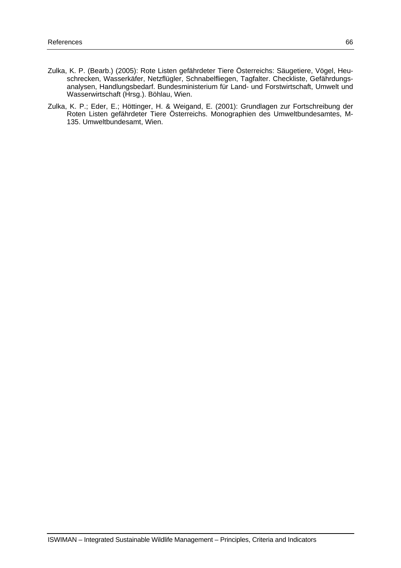- Zulka, K. P. (Bearb.) (2005): Rote Listen gefährdeter Tiere Österreichs: Säugetiere, Vögel, Heuschrecken, Wasserkäfer, Netzflügler, Schnabelfliegen, Tagfalter. Checkliste, Gefährdungsanalysen, Handlungsbedarf. Bundesministerium für Land- und Forstwirtschaft, Umwelt und Wasserwirtschaft (Hrsg.). Böhlau, Wien.
- Zulka, K. P.; Eder, E.; Höttinger, H. & Weigand, E. (2001): Grundlagen zur Fortschreibung der Roten Listen gefährdeter Tiere Österreichs. Monographien des Umweltbundesamtes, M-135. Umweltbundesamt, Wien.